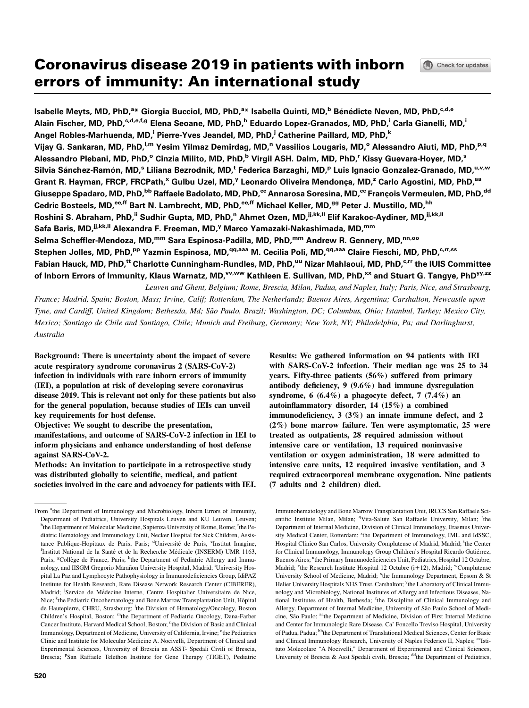# Coronavirus disease 2019 in patients with inborn errors of immunity: An international study

Isabelle Meyts, MD, PhD,<sup>a</sup>\* Giorgia Bucciol, MD, PhD,<sup>a</sup>\* Isabella Quinti, MD,<sup>b</sup> Bénédicte Neven, MD, PhD,<sup>c,d,e</sup> Alain Fischer, MD, PhD, C,d,e,f,g Elena Seoane, MD, PhD,<sup>h</sup> Eduardo Lopez-Granados, MD, PhD,<sup>i</sup> Carla Gianelli, MD,<sup>i</sup> Angel Robles-Marhuenda, MD,<sup>i</sup> Pierre-Yves Jeandel, MD, PhD,<sup>i</sup> Catherine Paillard, MD, PhD,<sup>k</sup> Vijay G. Sankaran, MD, PhD,<sup>I,m</sup> Yesim Yilmaz Demirdag, MD,<sup>n</sup> Vassilios Lougaris, MD,<sup>o</sup> Alessandro Aiuti, MD, PhD,<sup>p,q</sup> Alessandro Plebani, MD, PhD,<sup>o</sup> Cinzia Milito, MD, PhD,<sup>b</sup> Virgil ASH. Dalm, MD, PhD,<sup>r</sup> Kissy Guevara-Hoyer, MD,<sup>s</sup> Silvia Sánchez-Ramón, MD,<sup>s</sup> Liliana Bezrodnik, MD,<sup>t</sup> Federica Barzaghi, MD,<sup>p</sup> Luis Ignacio Gonzalez-Granado, MD,<sup>u,v,w</sup> Grant R. Hayman, FRCP, FRCPath,<sup>x</sup> Gulbu Uzel, MD,<sup>y</sup> Leonardo Oliveira Mendonça, MD,<sup>z</sup> Carlo Agostini, MD, PhD,<sup>aa</sup> Giuseppe Spadaro, MD, PhD,<sup>bb</sup> Raffaele Badolato, MD, PhD,<sup>cc</sup> Annarosa Soresina, MD,<sup>cc</sup> François Vermeulen, MD, PhD,<sup>dd</sup> Cedric Bosteels, MD, <sup>ee,ff</sup> Bart N. Lambrecht, MD, PhD, <sup>ee,ff</sup> Michael Keller, MD, <sup>gg</sup> Peter J. Mustillo, MD, <sup>hh</sup> Roshini S. Abraham, PhD,<sup>ii</sup> Sudhir Gupta, MD, PhD,<sup>n</sup> Ahmet Ozen, MD,<sup>jj,kk,ll</sup> Elif Karakoc-Aydiner, MD,<sup>jj,kk,ll</sup> Safa Baris, MD, <sup>jj,kk, ||</sup> Alexandra F. Freeman, MD, <sup>y</sup> Marco Yamazaki-Nakashimada, MD, <sup>mm</sup> Selma Scheffler-Mendoza, MD,<sup>mm</sup> Sara Espinosa-Padilla, MD, PhD,<sup>mm</sup> Andrew R. Gennery, MD,<sup>nn,oo</sup> Stephen Jolles, MD, PhD,<sup>pp</sup> Yazmin Espinosa, MD,<sup>qq,aaa</sup> M. Cecilia Poli, MD,<sup>qq,aaa</sup> Claire Fieschi, MD, PhD,<sup>c,rr,ss</sup> Fabian Hauck, MD, PhD,<sup>tt</sup> Charlotte Cunningham-Rundles, MD, PhD,<sup>uu</sup> Nizar Mahlaoui, MD, PhD,<sup>c,rr</sup> the IUIS Committee of Inborn Errors of Immunity, Klaus Warnatz, MD,<sup>vv,ww</sup> Kathleen E. Sullivan, MD, PhD,<sup>xx</sup> and Stuart G. Tangye, PhD<sup>yy,zz</sup>

Leuven and Ghent, Belgium; Rome, Brescia, Milan, Padua, and Naples, Italy; Paris, Nice, and Strasbourg, France; Madrid, Spain; Boston, Mass; Irvine, Calif; Rotterdam, The Netherlands; Buenos Aires, Argentina; Carshalton, Newcastle upon Tyne, and Cardiff, United Kingdom; Bethesda, Md; Sao Paulo, Brazil; Washington, DC; Columbus, Ohio; Istanbul, Turkey; Mexico City, ~ Mexico; Santiago de Chile and Santiago, Chile; Munich and Freiburg, Germany; New York, NY; Philadelphia, Pa; and Darlinghurst, Australia

Background: There is uncertainty about the impact of severe acute respiratory syndrome coronavirus 2 (SARS-CoV-2) infection in individuals with rare inborn errors of immunity (IEI), a population at risk of developing severe coronavirus disease 2019. This is relevant not only for these patients but also for the general population, because studies of IEIs can unveil key requirements for host defense.

Objective: We sought to describe the presentation, manifestations, and outcome of SARS-CoV-2 infection in IEI to inform physicians and enhance understanding of host defense against SARS-CoV-2.

Methods: An invitation to participate in a retrospective study was distributed globally to scientific, medical, and patient societies involved in the care and advocacy for patients with IEI.

Results: We gathered information on 94 patients with IEI with SARS-CoV-2 infection. Their median age was 25 to 34 years. Fifty-three patients (56%) suffered from primary antibody deficiency, 9 (9.6%) had immune dysregulation syndrome, 6  $(6.4\%)$  a phagocyte defect, 7  $(7.4\%)$  an autoinflammatory disorder, 14 (15%) a combined immunodeficiency, 3 (3%) an innate immune defect, and 2 (2%) bone marrow failure. Ten were asymptomatic, 25 were treated as outpatients, 28 required admission without intensive care or ventilation, 13 required noninvasive ventilation or oxygen administration, 18 were admitted to intensive care units, 12 required invasive ventilation, and 3 required extracorporeal membrane oxygenation. Nine patients (7 adults and 2 children) died.

Immunohematology and Bone Marrow Transplantation Unit, IRCCS San Raffaele Scientific Institute Milan, Milan; <sup>q</sup>Vita-Salute San Raffaele University, Milan; <sup>r</sup>the Department of Internal Medicine, Division of Clinical Immunology, Erasmus University Medical Center, Rotterdam; <sup>s</sup>the Department of Immunology, IML and IdSSC, Hospital Clínico San Carlos, University Complutense of Madrid, Madrid; the Center for Clinical Immunology, Immunology Group Children's Hospital Ricardo Gutiérrez, Buenos Aires; "the Primary Immunodeficiencies Unit, Pediatrics, Hospital 12 Octubre, Madrid; <sup>v</sup>the Research Institute Hospital 12 Octubre (i+12), Madrid; <sup>w</sup>Complutense University School of Medicine, Madrid; <sup>x</sup>the Immunology Department, Epsom & St Helier University Hospitals NHS Trust, Carshalton; <sup>y</sup>the Laboratory of Clinical Immunology and Microbiology, National Institutes of Allergy and Infectious Diseases, National Institutes of Health, Bethesda; <sup>z</sup>the Discipline of Clinical Immunology and Allergy, Department of Internal Medicine, University of São Paulo School of Medicine, São Paulo; aathe Department of Medicine, Division of First Internal Medicine and Center for Immunologic Rare Disease, Ca' Foncello Treviso Hospital, University of Padua, Padua; bbthe Department of Translational Medical Sciences, Center for Basic and Clinical Immunology Research, University of Naples Federico II, Naples; <sup>cc</sup>Istituto Molecolare ''A Nocivelli,'' Department of Experimental and Clinical Sciences, University of Brescia & Asst Spedali civili, Brescia; <sup>dd</sup>the Department of Pediatrics,

From <sup>a</sup>the Department of Immunology and Microbiology, Inborn Errors of Immunity, Department of Pediatrics, University Hospitals Leuven and KU Leuven, Leuven; <sup>b</sup>the Department of Molecular Medicine, Sapienza University of Rome, Rome; <sup>c</sup>the Pediatric Hematology and Immunology Unit, Necker Hospital for Sick Children, Assistance Publique-Hopitaux de Paris, Paris; <sup>d</sup>Université de Paris, <sup>e</sup>Institut Imagine, <sup>f</sup>Institut National de la Santé et de la Recherche Médicale (INSERM) UMR 1163, Paris, <sup>g</sup>Collège de France, Paris; <sup>h</sup>the Department of Pediatric Allergy and Immunology, and IISGM Gregorio Marañon University Hospital, Madrid; <sup>i</sup>University Hospital La Paz and Lymphocyte Pathophysiology in Immunodeficiencies Group, IdiPAZ Institute for Health Research, Rare Disease Network Research Center (CIBERER), Madrid; <sup>j</sup>Service de Médecine Interne, Centre Hospitalier Universitaire de Nice, Nice; <sup>k</sup>the Pediatric Oncohematology and Bone Marrow Transplantation Unit, Hôpital de Hautepierre, CHRU, Strasbourg; <sup>1</sup>the Division of Hematology/Oncology, Boston Children's Hospital, Boston; mthe Department of Pediatric Oncology, Dana-Farber Cancer Institute, Harvard Medical School, Boston; "the Division of Basic and Clinical Immunology, Department of Medicine, University of California, Irvine; <sup>o</sup>the Pediatrics Clinic and Institute for Molecular Medicine A. Nocivelli, Department of Clinical and Experimental Sciences, University of Brescia an ASST- Spedali Civili of Brescia, Brescia; <sup>p</sup>San Raffaele Telethon Institute for Gene Therapy (TIGET), Pediatric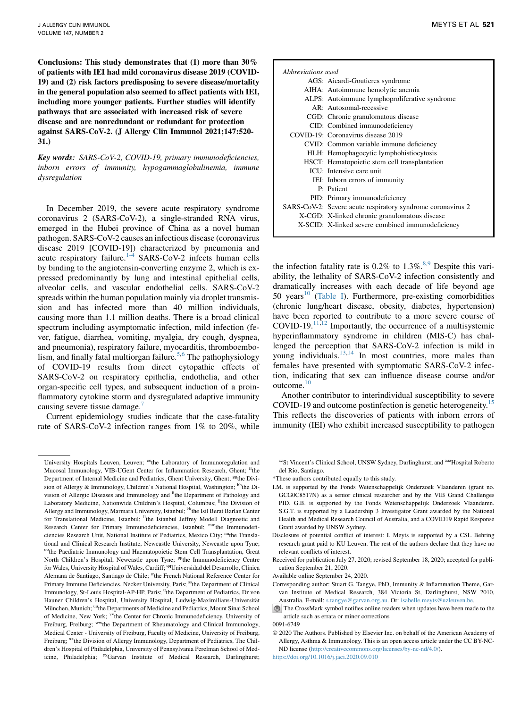Conclusions: This study demonstrates that (1) more than 30% of patients with IEI had mild coronavirus disease 2019 (COVID-19) and (2) risk factors predisposing to severe disease/mortality in the general population also seemed to affect patients with IEI, including more younger patients. Further studies will identify pathways that are associated with increased risk of severe disease and are nonredundant or redundant for protection against SARS-CoV-2. (J Allergy Clin Immunol 2021;147:520- 31.)

Key words: SARS-CoV-2, COVID-19, primary immunodeficiencies, inborn errors of immunity, hypogammaglobulinemia, immune dysregulation

In December 2019, the severe acute respiratory syndrome coronavirus 2 (SARS-CoV-2), a single-stranded RNA virus, emerged in the Hubei province of China as a novel human pathogen. SARS-CoV-2 causes an infectious disease (coronavirus disease 2019 [COVID-19]) characterized by pneumonia and acute respiratory failure.<sup>[1-4](#page-11-0)</sup> SARS-CoV-2 infects human cells by binding to the angiotensin-converting enzyme 2, which is expressed predominantly by lung and intestinal epithelial cells, alveolar cells, and vascular endothelial cells. SARS-CoV-2 spreads within the human population mainly via droplet transmission and has infected more than 40 million individuals, causing more than 1.1 million deaths. There is a broad clinical spectrum including asymptomatic infection, mild infection (fever, fatigue, diarrhea, vomiting, myalgia, dry cough, dyspnea, and pneumonia), respiratory failure, myocarditis, thromboembo-lism, and finally fatal multiorgan failure.<sup>[5](#page-11-1),[6](#page-11-2)</sup> The pathophysiology of COVID-19 results from direct cytopathic effects of SARS-CoV-2 on respiratory epithelia, endothelia, and other organ-specific cell types, and subsequent induction of a proinflammatory cytokine storm and dysregulated adaptive immunity causing severe tissue damage.<sup>[7](#page-11-3)</sup>

Current epidemiology studies indicate that the case-fatality rate of SARS-CoV-2 infection ranges from 1% to 20%, while

| Abbreviations used |                                                             |
|--------------------|-------------------------------------------------------------|
|                    | AGS: Aicardi-Goutieres syndrome                             |
|                    | AIHA: Autoimmune hemolytic anemia                           |
|                    | ALPS: Autoimmune lymphoproliferative syndrome               |
|                    | $AR:$ Autosomal-recessive                                   |
|                    | CGD: Chronic granulomatous disease                          |
|                    | CID: Combined immunodeficiency                              |
|                    | COVID-19: Coronavirus disease 2019                          |
|                    | CVID: Common variable immune deficiency                     |
|                    | HLH: Hemophagocytic lymphohistiocytosis                     |
|                    | HSCT: Hematopoietic stem cell transplantation               |
|                    | ICU: Intensive care unit                                    |
|                    | IEI: Inborn errors of immunity                              |
|                    | P: Patient                                                  |
|                    | PID: Primary immunodeficiency                               |
|                    | SARS-CoV-2: Severe acute respiratory syndrome coronavirus 2 |
|                    | X-CGD: X-linked chronic granulomatous disease               |
|                    | X-SCID: X-linked severe combined immunodeficiency           |

the infection fatality rate is  $0.2\%$  to  $1.3\%$ .<sup>[8](#page-11-4),[9](#page-11-5)</sup> Despite this variability, the lethality of SARS-CoV-2 infection consistently and dramatically increases with each decade of life beyond age 50 years<sup>[10](#page-11-6)</sup> [\(Table I\)](#page-2-0). Furthermore, pre-existing comorbidities (chronic lung/heart disease, obesity, diabetes, hypertension) have been reported to contribute to a more severe course of COVID-19. $11,12$  $11,12$  Importantly, the occurrence of a multisystemic hyperinflammatory syndrome in children (MIS-C) has challenged the perception that SARS-CoV-2 infection is mild in young individuals. $13,14$  $13,14$  In most countries, more males than females have presented with symptomatic SARS-CoV-2 infection, indicating that sex can influence disease course and/or outcome.<sup>[10](#page-11-6)</sup>

Another contributor to interindividual susceptibility to severe COVID-19 and outcome postinfection is genetic heterogeneity.<sup>[15](#page-11-11)</sup> This reflects the discoveries of patients with inborn errors of immunity (IEI) who exhibit increased susceptibility to pathogen

<sup>zz</sup>St Vincent's Clinical School, UNSW Sydney, Darlinghurst; and <sup>aaa</sup>Hospital Roberto del Rio, Santiago.

- \*These authors contributed equally to this study.
- I.M. is supported by the Fonds Wetenschappelijk Onderzoek Vlaanderen (grant no. GCG0C8517N) as a senior clinical researcher and by the VIB Grand Challenges PID. G.B. is supported by the Fonds Wetenschappelijk Onderzoek Vlaanderen. S.G.T. is supported by a Leadership 3 Investigator Grant awarded by the National Health and Medical Research Council of Australia, and a COVID19 Rapid Response Grant awarded by UNSW Sydney.
- Disclosure of potential conflict of interest: I. Meyts is supported by a CSL Behring research grant paid to KU Leuven. The rest of the authors declare that they have no relevant conflicts of interest.
- Received for publication July 27, 2020; revised September 18, 2020; accepted for publication September 21, 2020.

Available online September 24, 2020.

- Corresponding author: Stuart G. Tangye, PhD, Immunity & Inflammation Theme, Garvan Institute of Medical Research, 384 Victoria St, Darlinghurst, NSW 2010, Australia. E-mail: [s.tangye@garvan.org.au.](mailto:s.tangye@garvan.org.au) Or: [isabelle.meyts@uzleuven.be.](mailto:isabelle.meyts@uzleuven.be)
- The CrossMark symbol notifies online readers when updates have been made to the article such as errata or minor corrections

0091-6749

 2020 The Authors. Published by Elsevier Inc. on behalf of the American Academy of Allergy, Asthma & Immunology. This is an open access article under the CC BY-NC-ND license [\(http://creativecommons.org/licenses/by-nc-nd/4.0/\).](http://creativecommons.org/licenses/by-nc-nd/4.0/)

<https://doi.org/10.1016/j.jaci.2020.09.010>

University Hospitals Leuven, Leuven; eethe Laboratory of Immunoregulation and Mucosal Immunology, VIB-UGent Center for Inflammation Research, Ghent; <sup>ff</sup>the Department of Internal Medicine and Pediatrics, Ghent University, Ghent; <sup>gg</sup>the Division of Allergy & Immunology, Children's National Hospital, Washington; hhthe Division of Allergic Diseases and Immunology and <sup>ii</sup>the Department of Pathology and Laboratory Medicine, Nationwide Children's Hospital, Columbus; <sup>jj</sup>the Division of Allergy and Immunology, Marmara University, Istanbul; <sup>kk</sup>the Isil Berat Barlan Center for Translational Medicine, Istanbul; <sup>ll</sup>the Istanbul Jeffrey Modell Diagnostic and Research Center for Primary Immunodeficiencies, Istanbul; mmthe Immunodeficiencies Research Unit, National Institute of Pediatrics, Mexico City; <sup>nn</sup>the Translational and Clinical Research Institute, Newcastle University, Newcastle upon Tyne; <sup>oo</sup>the Paediatric Immunology and Haematopoietic Stem Cell Transplantation, Great North Children's Hospital, Newcastle upon Tyne; <sup>pp</sup>the Immunodeficiency Centre for Wales, University Hospital of Wales, Cardiff; <sup>qq</sup>Universidad del Desarrollo, Clínica Alemana de Santiago, Santiago de Chile; <sup>rr</sup>the French National Reference Center for Primary Immune Deficiencies, Necker University, Paris; <sup>ss</sup>the Department of Clinical Immunology, St-Louis Hospital-AP-HP, Paris; <sup>tt</sup>the Department of Pediatrics, Dr von Hauner Children's Hospital, University Hospital, Ludwig-Maximilians-Universität München, Munich; <sup>uu</sup>the Departments of Medicine and Pediatrics, Mount Sinai School of Medicine, New York; <sup>vv</sup>the Center for Chronic Immunodeficiency, University of Freiburg, Freiburg; wwthe Department of Rheumatology and Clinical Immunology, Medical Center - University of Freiburg, Faculty of Medicine, University of Freiburg, Freiburg; <sup>xx</sup>the Division of Allergy Immunology, Department of Pediatrics, The Children's Hospital of Philadelphia, University of Pennsylvania Perelman School of Medicine, Philadelphia; <sup>yy</sup>Garvan Institute of Medical Research, Darlinghurst;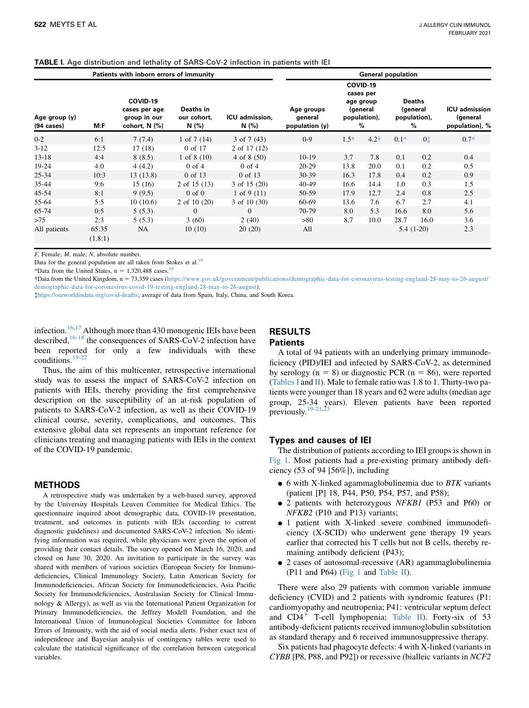<span id="page-2-0"></span>

| <b>TABLE I.</b> Age distribution and lethality of SARS-CoV-2 infection in patients with IEI |  |  |  |  |  |  |
|---------------------------------------------------------------------------------------------|--|--|--|--|--|--|
|---------------------------------------------------------------------------------------------|--|--|--|--|--|--|

|                                  |                  | Patients with inborn errors of immunity                    |                                  | <b>General population</b> |                                         |                                                                     |                  |                                                |                |                                                    |  |
|----------------------------------|------------------|------------------------------------------------------------|----------------------------------|---------------------------|-----------------------------------------|---------------------------------------------------------------------|------------------|------------------------------------------------|----------------|----------------------------------------------------|--|
| Age group (y)<br>$(94 \; cases)$ | M: F             | COVID-19<br>cases per age<br>group in our<br>cohort, N (%) | Deaths in<br>our cohort,<br>N(%) | ICU admission,<br>N(%)    | Age groups<br>general<br>population (y) | COVID-19<br>cases per<br>age group<br>(general<br>population),<br>% |                  | <b>Deaths</b><br>(general<br>population),<br>% |                | <b>ICU</b> admission<br>(general<br>population), % |  |
| $0 - 2$                          | 6:1              | 7(7.4)                                                     | 1 of $7(14)$                     | $3$ of $7(43)$            | $0 - 9$                                 | $1.5*$                                                              | 4.2 <sup>†</sup> | $0.1*$                                         | 0 <sup>†</sup> | $0.7*$                                             |  |
| $3 - 12$                         | 12:5             | 17(18)                                                     | 0 of 17                          | 2 of 17 (12)              |                                         |                                                                     |                  |                                                |                |                                                    |  |
| $13 - 18$                        | 4:4              | 8(8.5)                                                     | 1 of $8(10)$                     | $4 \text{ of } 8(50)$     | $10-19$                                 | 3.7                                                                 | 7.8              | 0.1                                            | 0.2            | 0.4                                                |  |
| 19-24                            | 4:0              | 4(4.2)                                                     | $0$ of $4$                       | $0$ of $4$                | $20-29$                                 | 13.8                                                                | 20.0             | 0.1                                            | 0.2            | 0.5                                                |  |
| $25 - 34$                        | 10:3             | 13(13.8)                                                   | 0 of 13                          | 0 of 13                   | $30-39$                                 | 16.3                                                                | 17.8             | 0.4                                            | 0.2            | 0.9                                                |  |
| 35-44                            | 9:6              | 15(16)                                                     | $2$ of 15 (13)                   | 3 of 15 (20)              | 40-49                                   | 16.6                                                                | 14.4             | 1.0                                            | 0.3            | 1.5                                                |  |
| 45-54                            | 8:1              | 9(9.5)                                                     | $0$ of $0$                       | 1 of 9 $(11)$             | 50-59                                   | 17.9                                                                | 12.7             | 2.4                                            | 0.8            | 2.5                                                |  |
| 55-64                            | 5:5              | 10(10.6)                                                   | $2$ of 10 $(20)$                 | $3$ of 10 (30)            | 60-69                                   | 13.6                                                                | 7.6              | 6.7                                            | 2.7            | 4.1                                                |  |
| 65-74                            | 0:5              | 5(5.3)                                                     | $\mathbf{0}$                     | $\Omega$                  | 70-79                                   | 8.0                                                                 | 5.3              | 16.6                                           | 8.0            | 5.6                                                |  |
| >75                              | 2:3              | 5(5.3)                                                     | 3(60)                            | 2(40)                     | >80                                     | 8.7                                                                 | 10.0             | 28.7                                           | 16.0           | 3.6                                                |  |
| All patients                     | 65:35<br>(1.8:1) | <b>NA</b>                                                  | 10(10)                           | 20(20)                    | All                                     |                                                                     |                  |                                                | $5.4(1-20)$    | 2.3                                                |  |

F, Female; M, male; N, absolute number.

Data for the general population are all taken from Stokes et al.<sup>10</sup>

\*Data from the United States,  $n = 1.320.488$  cases.<sup>[10](#page-11-6)</sup>

Data from the United Kingdom, n 5 73,359 cases ([https://www.gov.uk/government/publications/demographic-data-for-coronavirus-testing-england-28-may-to-26-august/](https://www.gov.uk/government/publications/demographic-data-for-coronavirus-testing-england-28-may-to-26-august/demographic-data-for-coronavirus-covid-19-testing-england-28-may-to-26-august) [demographic-data-for-coronavirus-covid-19-testing-england-28-may-to-26-august\)](https://www.gov.uk/government/publications/demographic-data-for-coronavirus-testing-england-28-may-to-26-august/demographic-data-for-coronavirus-covid-19-testing-england-28-may-to-26-august).

<https://ourworldindata.org/covid-deaths>; average of data from Spain, Italy, China, and South Korea.

infection.[16](#page-11-12)[,17](#page-11-13) Although more than 430 monogenic IEIs have been described,<sup>[16-18](#page-11-12)</sup> the consequences of SARS-CoV-2 infection have been reported for only a few individuals with these conditions.[19-22](#page-11-14)

## RESULTS **Patients**

Thus, the aim of this multicenter, retrospective international study was to assess the impact of SARS-CoV-2 infection on patients with IEIs, thereby providing the first comprehensive description on the susceptibility of an at-risk population of patients to SARS-CoV-2 infection, as well as their COVID-19 clinical course, severity, complications, and outcomes. This extensive global data set represents an important reference for clinicians treating and managing patients with IEIs in the context of the COVID-19 pandemic.

#### METHODS

A retrospective study was undertaken by a web-based survey, approved by the University Hospitals Leuven Committee for Medical Ethics. The questionnaire inquired about demographic data, COVID-19 presentation, treatment, and outcomes in patients with IEIs (according to current diagnostic guidelines) and documented SARS-CoV-2 infection. No identifying information was required, while physicians were given the option of providing their contact details. The survey opened on March 16, 2020, and closed on June 30, 2020. An invitation to participate in the survey was shared with members of various societies (European Society for Immunodeficiencies, Clinical Immunology Society, Latin American Society for Immunodeficiencies, African Society for Immunodeficiencies, Asia Pacific Society for Immunodeficiencies, Australasian Society for Clinical Immunology & Allergy), as well as via the International Patient Organization for Primary Immunodeficiencies, the Jeffrey Modell Foundation, and the International Union of Immunological Societies Committee for Inborn Errors of Immunity, with the aid of social media alerts. Fisher exact test of independence and Bayesian analysis of contingency tables were used to calculate the statistical significance of the correlation between categorical variables.

A total of 94 patients with an underlying primary immunodeficiency (PID)/IEI and infected by SARS-CoV-2, as determined by serology ( $n = 8$ ) or diagnostic PCR ( $n = 86$ ), were reported [\(Tables I](#page-2-0) and  $\text{II}$ ). Male to female ratio was 1.8 to 1. Thirty-two patients were younger than 18 years and 62 were adults (median age group, 25-34 years). Eleven patients have been reported previously. $19-21,23$  $19-21,23$  $19-21,23$ 

#### Types and causes of IEI

The distribution of patients according to IEI groups is shown in [Fig 1](#page-10-0). Most patients had a pre-existing primary antibody deficiency (53 of 94 [56%]), including

- $\bullet$  6 with X-linked agammaglobulinemia due to *BTK* variants (patient [P] 18, P44, P50, P54, P57, and P58);
- 2 patients with heterozygous NFKB1 (P53 and P60) or NFKB2 (P10 and P13) variants;
- 1 patient with X-linked severe combined immunodeficiency (X-SCID) who underwent gene therapy 19 years earlier that corrected his T cells but not B cells, thereby remaining antibody deficient (P43);
- 2 cases of autosomal-recessive (AR) agammaglobulinemia (P11 and P64) ([Fig 1](#page-10-0) and [Table II\)](#page-4-0).

There were also 29 patients with common variable immune deficiency (CVID) and 2 patients with syndromic features (P1: cardiomyopathy and neutropenia; P41: ventricular septum defect and  $CD4^+$  T-cell lymphopenia; [Table II](#page-4-0)). Forty-six of 53 antibody-deficient patients received immunoglobulin substitution as standard therapy and 6 received immunosuppressive therapy.

Six patients had phagocyte defects: 4 with X-linked (variants in CYBB [P8, P88, and P92]) or recessive (bialleic variants in NCF2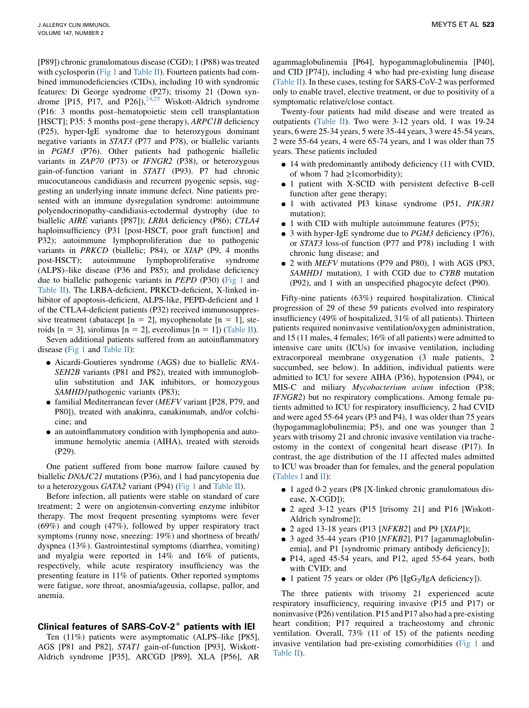[P89]) chronic granulomatous disease (CGD); 1 (P88) was treated with cyclosporin [\(Fig 1](#page-10-0) and [Table II\)](#page-4-0). Fourteen patients had combined immunodeficiencies (CIDs), including 10 with syndromic features: Di George syndrome (P27); trisomy 21 (Down syndrome [P15, P17, and P26]),  $24,25$  $24,25$  Wiskott-Aldrich syndrome (P16: 3 months post–hematopoietic stem cell transplantation [HSCT]; P35: 5 months post–gene therapy), *ARPC1B* deficiency (P25), hyper-IgE syndrome due to heterozygous dominant negative variants in STAT3 (P77 and P78), or biallelic variants in PGM3 (P76). Other patients had pathogenic biallelic variants in ZAP70 (P73) or IFNGR2 (P38), or heterozygous gain-of-function variant in STAT1 (P93). P7 had chronic mucocutaneous candidiasis and recurrent pyogenic sepsis, suggesting an underlying innate immune defect. Nine patients presented with an immune dysregulation syndrome: autoimmune polyendocrinopathy-candidiasis-ectodermal dystrophy (due to biallelic AIRE variants [P87]); LRBA deficiency (P86); CTLA4 haploinsufficiency (P31 [post-HSCT, poor graft function] and P32); autoimmune lymphoproliferation due to pathogenic variants in PRKCD (biallelic; P84), or XIAP (P9, 4 months post-HSCT); autoimmune lymphoproliferative syndrome (ALPS)–like disease (P36 and P85); and prolidase deficiency due to biallelic pathogenic variants in PEPD (P30) ([Fig 1](#page-10-0) and [Table II\)](#page-4-0). The LRBA-deficient, PRKCD-deficient, X-linked inhibitor of apoptosis-deficient, ALPS-like, PEPD-deficient and 1 of the CTLA4-deficient patients (P32) received immunosuppressive treatment (abatacept  $[n = 2]$ , mycophenolate  $[n = 1]$ , steroids  $[n = 3]$ , sirolimus  $[n = 2]$ , everolimus  $[n = 1]$ ) ([Table II](#page-4-0)). Seven additional patients suffered from an autoinflammatory

disease ([Fig 1](#page-10-0) and [Table II](#page-4-0)):

- <sup>d</sup> Aicardi-Goutieres syndrome (AGS) due to biallelic RNA-SEH2B variants (P81 and P82), treated with immunoglobulin substitution and JAK inhibitors, or homozygous SAMHD1 pathogenic variants (P83);
- $\bullet$  familial Mediterranean fever (*MEFV* variant [P28, P79, and P80]), treated with anakinra, canakinumab, and/or colchicine; and
- an autoinflammatory condition with lymphopenia and autoimmune hemolytic anemia (AIHA), treated with steroids (P29).

One patient suffered from bone marrow failure caused by biallelic DNAJC21 mutations (P36), and 1 had pancytopenia due to a heterozygous GATA2 variant (P94) [\(Fig 1](#page-10-0) and [Table II\)](#page-4-0).

Before infection, all patients were stable on standard of care treatment; 2 were on angiotensin-converting enzyme inhibitor therapy. The most frequent presenting symptoms were fever (69%) and cough (47%), followed by upper respiratory tract symptoms (runny nose, sneezing: 19%) and shortness of breath/ dyspnea (13%). Gastrointestinal symptoms (diarrhea, vomiting) and myalgia were reported in 14% and 16% of patients, respectively, while acute respiratory insufficiency was the presenting feature in 11% of patients. Other reported symptoms were fatigue, sore throat, anosmia/ageusia, collapse, pallor, and anemia.

## Clinical features of SARS-CoV- $2^+$  patients with IEI

Ten (11%) patients were asymptomatic (ALPS–like [P85], AGS [P81 and P82], STAT1 gain-of-function [P93], Wiskott-Aldrich syndrome [P35], ARCGD [P89], XLA [P56], AR

agammaglobulinemia [P64], hypogammaglobulinemia [P40], and CID [P74]), including 4 who had pre-existing lung disease [\(Table II](#page-4-0)). In these cases, testing for SARS-CoV-2 was performed only to enable travel, elective treatment, or due to positivity of a symptomatic relative/close contact.

Twenty-four patients had mild disease and were treated as outpatients ([Table II\)](#page-4-0). Two were 3-12 years old, 1 was 19-24 years, 6 were 25-34 years, 5 were 35-44 years, 3 were 45-54 years, 2 were 55-64 years, 4 were 65-74 years, and 1 was older than 75 years. These patients included

- 14 with predominantly antibody deficiency (11 with CVID, of whom 7 had  $\geq$ 1comorbidity);
- 1 patient with X-SCID with persistent defective B-cell function after gene therapy;
- $\bullet$  1 with activated PI3 kinase syndrome (P51, PIK3R1 mutation);
- $\bullet$  1 with CID with multiple autoimmune features (P75);
- $\bullet$  3 with hyper-IgE syndrome due to *PGM3* deficiency (P76), or STAT3 loss-of function (P77 and P78) including 1 with chronic lung disease; and
- 2 with MEFV mutations (P79 and P80), 1 with AGS (P83, SAMHD1 mutation), 1 with CGD due to CYBB mutation (P92), and 1 with an unspecified phagocyte defect (P90).

Fifty-nine patients (63%) required hospitalization. Clinical progression of 29 of these 59 patients evolved into respiratory insufficiency (49% of hospitalized, 31% of all patients). Thirteen patients required noninvasive ventilation/oxygen administration, and 15 (11 males, 4 females; 16% of all patients) were admitted to intensive care units (ICUs) for invasive ventilation, including extracorporeal membrane oxygenation (3 male patients, 2 succumbed, see below). In addition, individual patients were admitted to ICU for severe AIHA (P36), hypotension (P94), or MIS-C and miliary Mycobacterium avium infection (P38; IFNGR2) but no respiratory complications. Among female patients admitted to ICU for respiratory insufficiency, 2 had CVID and were aged 55-64 years (P3 and P4), 1 was older than 75 years (hypogammaglobulinemia; P5), and one was younger than 2 years with trisomy 21 and chronic invasive ventilation via tracheostomy in the context of congenital heart disease (P17). In contrast, the age distribution of the 11 affected males admitted to ICU was broader than for females, and the general population [\(Tables I](#page-2-0) and [II](#page-4-0)):

- <sup>d</sup> 1 aged 0-2 years (P8 [X-linked chronic granulomatous disease, X-CGD]);
- 2 aged 3-12 years (P15 [trisomy 21] and P16 [Wiskott-Aldrich syndrome]);
- $\bullet$  2 aged 13-18 years (P13 [NFKB2] and P9 [XIAP]);
- $\bullet$  3 aged 35-44 years (P10 [NFKB2], P17 [agammaglobulinemia], and P1 [syndromic primary antibody deficiency]);
- P14, aged 45-54 years, and P12, aged 55-64 years, both with CVID; and
- $\bullet$  1 patient 75 years or older (P6 [IgG<sub>2</sub>/IgA deficiency]).

The three patients with trisomy 21 experienced acute respiratory insufficiency, requiring invasive (P15 and P17) or noninvasive (P26) ventilation. P15 and P17 also had a pre-existing heart condition; P17 required a tracheostomy and chronic ventilation. Overall, 73% (11 of 15) of the patients needing invasive ventilation had pre-existing comorbidities ([Fig 1](#page-10-0) and [Table II\)](#page-4-0).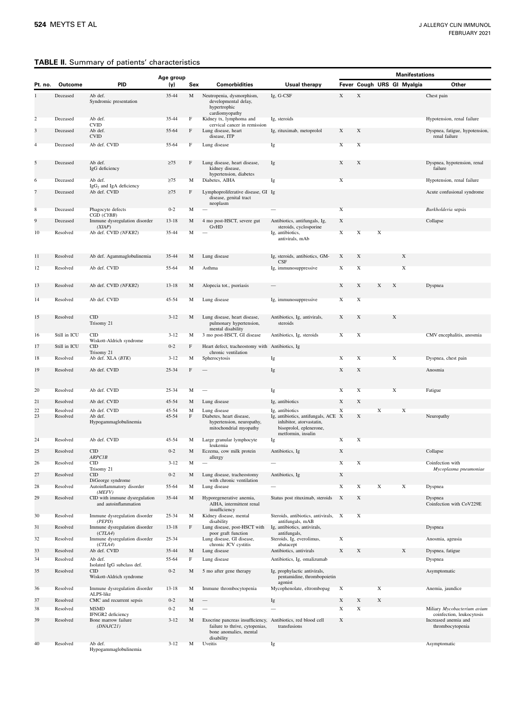## <span id="page-4-0"></span>TABLE II. Summary of patients' characteristics

|                |              |                                                                        | Age group |              |                                                                                                                                        |                                                                                                                  | <b>Manifestations</b> |             |             |             |                            |                                                                       |
|----------------|--------------|------------------------------------------------------------------------|-----------|--------------|----------------------------------------------------------------------------------------------------------------------------------------|------------------------------------------------------------------------------------------------------------------|-----------------------|-------------|-------------|-------------|----------------------------|-----------------------------------------------------------------------|
| Pt. no.        | Outcome      | PID                                                                    | (y)       | Sex          | <b>Comorbidities</b>                                                                                                                   | Usual therapy                                                                                                    |                       |             |             |             | Fever Cough URS GI Myalgia | Other                                                                 |
| 1              | Deceased     | Ab def.<br>Syndromic presentation                                      | $35 - 44$ | M            | Neutropenia, dysmorphism,<br>developmental delay,<br>hypertrophic<br>cardiomyopathy                                                    | Ig, G-CSF                                                                                                        | $\mathbf X$           | $\mathbf X$ |             |             |                            | Chest pain                                                            |
| $\overline{c}$ | Deceased     | Ab def.                                                                | $35 - 44$ | $\mathbf F$  | Kidney tx, lymphoma and                                                                                                                | Ig, steroids                                                                                                     |                       |             |             |             |                            | Hypotension, renal failure                                            |
| 3              | Deceased     | <b>CVID</b><br>Ab def.<br><b>CVID</b>                                  | 55-64     | F            | cervical cancer in remission<br>Lung disease, heart<br>disease, ITP                                                                    | Ig, rituximab, metoprolol                                                                                        | X                     | X           |             |             |                            | Dyspnea, fatigue, hypotension,<br>renal failure                       |
| $\overline{4}$ | Deceased     | Ab def. CVID                                                           | 55-64     | $\mathbf{F}$ | Lung disease                                                                                                                           | Ig                                                                                                               | X                     | $\mathbf X$ |             |             |                            |                                                                       |
| 5              | Deceased     | Ab def.<br>IgG deficiency                                              | $\geq$ 75 | F            | Lung disease, heart disease,<br>kidney disease,<br>hypertension, diabetes                                                              | Ig                                                                                                               | $\mathbf X$           | X           |             |             |                            | Dyspnea, hypotension, renal<br>failure                                |
| 6              | Deceased     | Ab def.<br>IgG <sub>2</sub> and IgA deficiency                         | $\geq 75$ | M            | Diabetes, AIHA                                                                                                                         | Ig                                                                                                               | $\mathbf X$           |             |             |             |                            | Hypotension, renal failure                                            |
| 7              | Deceased     | Ab def. CVID                                                           | $\geq$ 75 | F            | Lymphoproliferative disease, GI Ig<br>disease, genital tract<br>neoplasm                                                               |                                                                                                                  |                       |             |             |             |                            | Acute confusional syndrome                                            |
| $\bf 8$        | Deceased     | Phagocyte defects                                                      | $0 - 2$   | M            |                                                                                                                                        |                                                                                                                  | X                     |             |             |             |                            | Burkholderia sepsis                                                   |
| 9              | Deceased     | CGD (CYBB)<br>Immune dysregulation disorder                            | $13 - 18$ | M            | 4 mo post-HSCT, severe gut                                                                                                             | Antibiotics, antifungals, Ig,                                                                                    | X                     |             |             |             |                            | Collapse                                                              |
| 10             | Resolved     | (XIAP)<br>Ab def. CVID (NFKB2)                                         | $35 - 44$ | M            | GvHD                                                                                                                                   | steroids, cyclosporine<br>Ig, antibiotics,                                                                       | $\mathbf X$           | $\mathbf X$ | $\mathbf X$ |             |                            |                                                                       |
|                |              |                                                                        |           |              |                                                                                                                                        | antivirals, mAb                                                                                                  |                       |             |             |             |                            |                                                                       |
| 11             | Resolved     | Ab def. Agammaglobulinemia                                             | $35 - 44$ | М            | Lung disease                                                                                                                           | Ig, steroids, antibiotics, GM-<br>CSF                                                                            | X                     | X           |             |             | $\mathbf X$                |                                                                       |
| 12             | Resolved     | Ab def. CVID                                                           | 55-64     | M            | Asthma                                                                                                                                 | Ig, immunosuppressive                                                                                            | $\mathbf X$           | $\mathbf X$ |             |             | $\mathbf X$                |                                                                       |
| 13             | Resolved     | Ab def. CVID (NFKB2)                                                   | $13 - 18$ | M            | Alopecia tot., psoriasis                                                                                                               |                                                                                                                  | X                     | X           | X           | X           |                            | Dyspnea                                                               |
|                |              |                                                                        |           |              |                                                                                                                                        |                                                                                                                  |                       |             |             |             |                            |                                                                       |
| 14             | Resolved     | Ab def. CVID                                                           | $45 - 54$ | М            | Lung disease                                                                                                                           | Ig, immunosuppressive                                                                                            | X                     | X           |             |             |                            |                                                                       |
| 15             | Resolved     | CID<br>Trisomy 21                                                      | $3 - 12$  | M            | Lung disease, heart disease,<br>pulmonary hypertension,<br>mental disability                                                           | Antibiotics, Ig. antivirals,<br>steroids                                                                         | X                     | X           |             | X           |                            |                                                                       |
| 16             | Still in ICU | CID<br>Wiskott-Aldrich syndrome                                        | $3 - 12$  | М            | 3 mo post-HSCT, GI disease                                                                                                             | Antibiotics, Ig, steroids                                                                                        | $\mathbf X$           | $\mathbf X$ |             |             |                            | CMV encephalitis, anosmia                                             |
| 17             | Still in ICU | CID                                                                    | $0 - 2$   | F            | Heart defect, tracheostomy with Antibiotics, Ig                                                                                        |                                                                                                                  |                       |             |             |             |                            |                                                                       |
| 18             | Resolved     | Trisomy 21<br>Ab def. XLA (BTK)                                        | $3 - 12$  | M            | chronic ventilation<br>Spherocytosis                                                                                                   | Ig                                                                                                               | $\mathbf X$           | $\mathbf X$ |             | $\mathbf X$ |                            | Dyspnea, chest pain                                                   |
| 19             | Resolved     | Ab def. CVID                                                           | $25 - 34$ | F            |                                                                                                                                        | Ig                                                                                                               | $\mathbf X$           | X           |             |             |                            | Anosmia                                                               |
| 20             | Resolved     | Ab def. CVID                                                           | $25 - 34$ | M            |                                                                                                                                        | Ig                                                                                                               | $\mathbf X$           | $\mathbf X$ |             | $\mathbf X$ |                            | Fatigue                                                               |
| 21             | Resolved     | Ab def. CVID                                                           | $45 - 54$ | M            | Lung disease                                                                                                                           | Ig, antibiotics                                                                                                  | X                     | X           |             |             |                            |                                                                       |
| 22             | Resolved     | Ab def. CVID                                                           | $45 - 54$ | M            | Lung disease                                                                                                                           | Ig, antibiotics                                                                                                  | $\mathbf X$           |             | $\mathbf X$ |             | $\mathbf X$                |                                                                       |
| 23             | Resolved     | Ab def.<br>Hypogammaglobulinemia                                       | 45-54     | $\mathbf F$  | Diabetes, heart disease,<br>hypertension, neuropathy,<br>mitochondrial myopathy                                                        | Ig, antibiotics, antifungals, ACE X<br>inhibitor, atorvastatin,<br>bisoprolol, eplenerone,<br>metformin, insulin |                       | X           |             |             |                            | Neuropathy                                                            |
| 24             | Resolved     | Ab def. CVID                                                           | 45-54     | М            | Large granular lymphocyte<br>leukemia                                                                                                  | Ig                                                                                                               | $\mathbf X$           | $\mathbf X$ |             |             |                            |                                                                       |
| 25             | Resolved     | CID<br>ARPCIB                                                          | $0 - 2$   | M            | Eczema, cow milk protein<br>allergy                                                                                                    | Antibiotics, Ig                                                                                                  | $\mathbf X$           |             |             |             |                            | Collapse                                                              |
| 26             | Resolved     | <b>CID</b>                                                             | $3 - 12$  | M            |                                                                                                                                        |                                                                                                                  | $\mathbf X$           | $\mathbf X$ |             |             |                            | Coinfection with                                                      |
| 27             | Resolved     | Trisomy 21<br>CID                                                      | $0 - 2$   |              | Lung disease, tracheostomy                                                                                                             | Antibiotics, Ig                                                                                                  | $\mathbf X$           |             |             |             |                            | Mycoplasma pneumoniae                                                 |
| 28             | Resolved     | DiGeorge syndrome<br>Autoinflammatory disorder                         | 55-64     | M            | with chronic ventilation<br>Lung disease                                                                                               |                                                                                                                  | $\mathbf X$           | X           | X           |             | X                          | Dyspnea                                                               |
| 29             | Resolved     | (MEFV)<br>CID with immune dysregulation<br>and autoinflammation        | 35-44     | M            | Hyporegenerative anemia,<br>AIHA, intermittent renal<br>insufficiency                                                                  | Status post rituximab, steroids                                                                                  | X                     | X           |             |             |                            | Dyspnea<br>Coinfection with CoV229E                                   |
| 30             | Resolved     | Immune dysregulation disorder                                          | $25 - 34$ | M            | Kidney disease, mental                                                                                                                 | Steroids, antibiotics, antivirals, X                                                                             |                       | $\mathbf X$ |             |             |                            |                                                                       |
| 31             | Resolved     | (PEPD)<br>Immune dysregulation disorder                                | $13 - 18$ | F            | disability<br>Lung disease, post-HSCT with                                                                                             | antifungals, mAB<br>Ig, antibiotics, antivirals,                                                                 |                       |             |             |             |                            | Dyspnea                                                               |
| 32             | Resolved     | (CTLA4)<br>Immune dysregulation disorder                               | $25 - 34$ |              | poor graft function<br>Lung disease, GI disease,                                                                                       | antifungals,<br>Steroids, Ig, everolimus,                                                                        | $\mathbf X$           |             |             |             |                            | Anosmia, ageusia                                                      |
| 33             | Resolved     | (CTLA4)<br>Ab def. CVID                                                | 35-44     | M            | chronic JCV cystitis<br>Lung disease                                                                                                   | abatacept<br>Antibiotics, antivirals                                                                             | X                     | X           |             |             | $\mathbf X$                | Dyspnea, fatigue                                                      |
| 34             | Resolved     | Ab def.                                                                | 55-64     | $\mathbf F$  | Lung disease                                                                                                                           | Antibiotics, Ig, omalizumab                                                                                      |                       |             |             |             |                            | Dyspnea                                                               |
| 35             | Resolved     | Isolated IgG subclass def.<br>$\text{CID}$<br>Wiskott-Aldrich syndrome | $0 - 2$   | M            | 5 mo after gene therapy                                                                                                                | Ig, prophylactic antivirals,<br>pentamidine, thrombopoietin                                                      |                       |             |             |             |                            | Asymptomatic                                                          |
| 36             | Resolved     | Immune dysregulation disorder                                          | $13 - 18$ | M            | Immune thrombocytopenia                                                                                                                | agonist<br>Mycophenolate, eltrombopag                                                                            | X                     |             | $\mathbf X$ |             |                            | Anemia, jaundice                                                      |
| 37             | Resolved     | ALPS-like<br>CMC and recurrent sepsis                                  | $0 - 2$   | M            |                                                                                                                                        | Ig                                                                                                               | X                     | X           | $\mathbf X$ |             |                            |                                                                       |
| 38             | Resolved     | <b>MSMD</b>                                                            | $0 - 2$   | $\mathbf M$  |                                                                                                                                        |                                                                                                                  | $\mathbf X$           | $\mathbf X$ |             |             |                            | Miliary Mycobacterium avium                                           |
| 39             | Resolved     | IFNGR2 deficiency<br>Bone marrow failure<br>(DNAJC21)                  | $3 - 12$  | M            | Exocrine pancreas insufficiency, Antibiotics, red blood cell<br>failure to thrive, cytopenias,<br>bone anomalies, mental<br>disability | transfusions                                                                                                     | X                     |             |             |             |                            | coinfection, leukocytosis<br>Increased anemia and<br>thrombocytopenia |
| 40             | Resolved     | Ab def.<br>Hypogammaglobulinemia                                       | $3 - 12$  | М            | Uveitis                                                                                                                                | Ig                                                                                                               |                       |             |             |             |                            | Asymptomatic                                                          |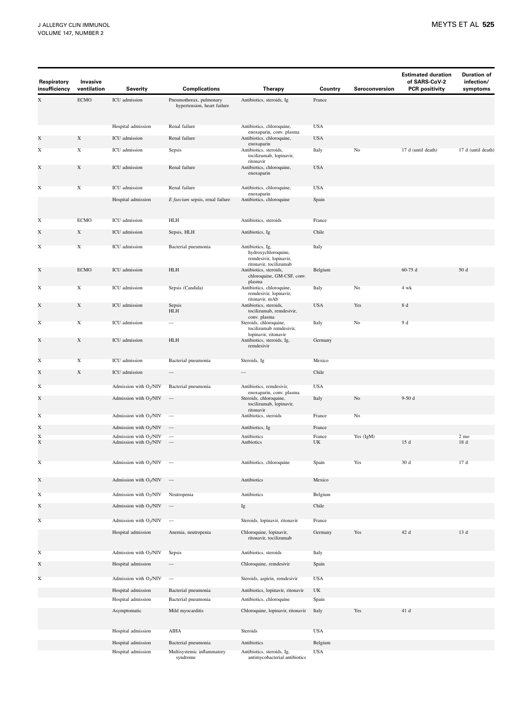| Respiratory<br>insufficiency | Invasive<br>ventilation | Severity                                                       | <b>Complications</b>                                   | Therapy                                                                                     | Country      | Seroconversion | <b>Estimated duration</b><br>of SARS-CoV-2<br><b>PCR positivity</b> | <b>Duration of</b><br>infection/<br>symptoms |
|------------------------------|-------------------------|----------------------------------------------------------------|--------------------------------------------------------|---------------------------------------------------------------------------------------------|--------------|----------------|---------------------------------------------------------------------|----------------------------------------------|
| X                            | <b>ECMO</b>             | ICU admission                                                  | Pneumothorax, pulmonary<br>hypertension, heart failure | Antibiotics, steroids, Ig                                                                   | France       |                |                                                                     |                                              |
|                              |                         |                                                                |                                                        |                                                                                             |              |                |                                                                     |                                              |
|                              |                         | Hospital admission                                             | Renal failure                                          | Antibiotics, chloroquine,                                                                   | <b>USA</b>   |                |                                                                     |                                              |
| X                            | $\mathbf X$             | ICU admission                                                  | Renal failure                                          | enoxaparin, conv. plasma<br>Antibiotics, chloroquine,                                       | <b>USA</b>   |                |                                                                     |                                              |
| X                            | $\mathbf X$             | ICU admission                                                  | Sepsis                                                 | enoxaparin<br>Antibiotics, steroids,<br>tocilizumab, lopinavir,                             | Italy        | No             | 17 d (until death)                                                  | 17 d (until death)                           |
| X                            | $\mathbf X$             | ICU admission                                                  | Renal failure                                          | ritonavir<br>Antibiotics, chloroquine,<br>enoxaparin                                        | <b>USA</b>   |                |                                                                     |                                              |
| X                            | $\mathbf X$             | ICU admission                                                  | Renal failure                                          | Antibiotics, chloroquine,                                                                   | <b>USA</b>   |                |                                                                     |                                              |
|                              |                         | Hospital admission                                             | E faecium sepsis, renal failure                        | enoxaparin<br>Antibiotics, chloroquine                                                      | Spain        |                |                                                                     |                                              |
| X                            | <b>ECMO</b>             | ICU admission                                                  | <b>HLH</b>                                             | Antibiotics, steroids                                                                       | France       |                |                                                                     |                                              |
| X                            | X                       | ICU admission                                                  | Sepsis, HLH                                            | Antibiotics, Ig                                                                             | Chile        |                |                                                                     |                                              |
|                              |                         |                                                                |                                                        |                                                                                             |              |                |                                                                     |                                              |
| X                            | $\mathbf X$             | ICU admission                                                  | Bacterial pneumonia                                    | Antibiotics, Ig,<br>hydroxychloroquine,<br>remdesivir, lopinavir,<br>ritonavir, tocilizumab | Italy        |                |                                                                     |                                              |
| X                            | <b>ECMO</b>             | ICU admission                                                  | <b>HLH</b>                                             | Antibiotics, steroids,<br>chloroquine, GM-CSF, conv.<br>plasma                              | Belgium      |                | $60-75d$                                                            | 50 d                                         |
| X                            | $\mathbf X$             | ICU admission                                                  | Sepsis (Candida)                                       | Antibiotics, chloroquine,<br>remdesivir, lopinavir,                                         | Italy        | No             | 4 wk                                                                |                                              |
| X                            | X                       | ICU admission                                                  | Sepsis<br>HLH                                          | ritonavir, mAb<br>Antibiotics, steroids,<br>tocilizumab, remdesivir,                        | <b>USA</b>   | Yes            | $8\,\,{\rm d}$                                                      |                                              |
| X                            | $\mathbf X$             | ICU admission                                                  |                                                        | conv. plasma<br>Steroids, chloroquine,<br>tocilizumab remdesivir,                           | Italy        | No             | 9 d                                                                 |                                              |
| X                            | X                       | ICU admission                                                  | <b>HLH</b>                                             | lopinavir, ritonavir<br>Antibiotics, steroids, Ig,<br>remdesivir                            | Germany      |                |                                                                     |                                              |
| X                            | $\mathbf X$             | ICU admission                                                  | Bacterial pneumonia                                    | Steroids, Ig                                                                                | Mexico       |                |                                                                     |                                              |
| X                            | $\mathbf X$             | ICU admission                                                  |                                                        |                                                                                             | Chile        |                |                                                                     |                                              |
| X                            |                         | Admission with O <sub>2</sub> /NIV                             | Bacterial pneumonia                                    | Antibiotics, remdesivir,                                                                    | <b>USA</b>   |                |                                                                     |                                              |
| X                            |                         | Admission with O2/NIV                                          |                                                        | enoxaparin, conv. plasma<br>Steroids, chloroquine,<br>tocilizumab, lopinavir,               | Italy        | $\rm No$       | $9-50d$                                                             |                                              |
| X                            |                         | Admission with $O_2/NIV$                                       |                                                        | ritonavir<br>Antibiotics, steroids                                                          | France       | No             |                                                                     |                                              |
| X                            |                         | Admission with $O2/NIV$                                        |                                                        | Antibiotics, Ig                                                                             | France       |                |                                                                     |                                              |
| $\mathbf X$<br>X             |                         | Admission with $O_2/NIV$<br>Admission with O <sub>2</sub> /NIV |                                                        | Antibiotics<br>Antbiotics                                                                   | France<br>UK | Yes (IgM)      | 15 d                                                                | $2 \text{ mo}$<br>18 d                       |
|                              |                         |                                                                |                                                        |                                                                                             |              |                |                                                                     |                                              |
| X                            |                         | Admission with O <sub>2</sub> /NIV                             |                                                        | Antibiotics, chloroquine                                                                    | Spain        | Yes            | 30 d                                                                | 17 d                                         |
| X                            |                         | Admission with O2/NIV                                          |                                                        | Antibiotics                                                                                 | Mexico       |                |                                                                     |                                              |
| X                            |                         | Admission with O <sub>2</sub> /NIV                             | Neutropenia                                            | Antibiotics                                                                                 | Belgium      |                |                                                                     |                                              |
| X                            |                         | Admission with O <sub>2</sub> /NIV                             |                                                        | Ig                                                                                          | Chile        |                |                                                                     |                                              |
| X                            |                         | Admission with O <sub>2</sub> /NIV                             |                                                        | Steroids, lopinavir, ritonavir                                                              | France       |                |                                                                     |                                              |
|                              |                         | Hospital admission                                             | Anemia, neutropenia                                    | Chloroquine, lopinavir,<br>ritonavir, tocilizumab                                           | Germany      | Yes            | 42 d                                                                | 13 d                                         |
| X                            |                         | Admission with O <sub>2</sub> /NIV                             | Sepsis                                                 | Antibiotics, steroids                                                                       | Italy        |                |                                                                     |                                              |
| X                            |                         | Hospital admission                                             |                                                        | Chloroquine, remdesivir                                                                     | Spain        |                |                                                                     |                                              |
| X                            |                         | Admission with $O_2/NIV$                                       |                                                        | Steroids, aspirin, remdesivir                                                               | <b>USA</b>   |                |                                                                     |                                              |
|                              |                         | Hospital admission                                             | Bacterial pneumonia                                    | Antibiotics, lopinavir, ritonavir                                                           | UK           |                |                                                                     |                                              |
|                              |                         | Hospital admission                                             | Bacterial pneumonia                                    | Antibiotics, chloroquine                                                                    | Spain        |                |                                                                     |                                              |
|                              |                         | Asymptomatic                                                   | Mild myocarditis                                       | Chloroquine, lopinavir, ritonavir                                                           | Italy        | Yes            | 41 d                                                                |                                              |
|                              |                         | Hospital admission                                             | <b>AIHA</b>                                            | Steroids                                                                                    | <b>USA</b>   |                |                                                                     |                                              |
|                              |                         | Hospital admission                                             | Bacterial pneumonia                                    | Antibiotics                                                                                 | Belgium      |                |                                                                     |                                              |
|                              |                         | Hospital admission                                             | Multisystemic inflammatory<br>syndrome                 | Antibiotics, steroids, Ig,<br>antimycobacterial antibiotics                                 | <b>USA</b>   |                |                                                                     |                                              |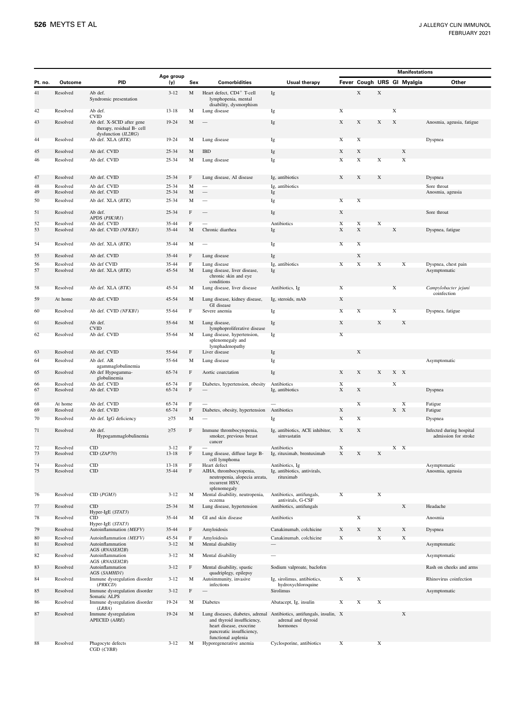|          |                      |                                                                                              |                        |                   |                                                                                                           |                                                                                                          |                  |                  |                  |                    | <b>Manifestations</b>      |                                                  |
|----------|----------------------|----------------------------------------------------------------------------------------------|------------------------|-------------------|-----------------------------------------------------------------------------------------------------------|----------------------------------------------------------------------------------------------------------|------------------|------------------|------------------|--------------------|----------------------------|--------------------------------------------------|
| Pt. no.  | <b>Outcome</b>       | <b>PID</b>                                                                                   | Age group<br>(y)       | Sex               | <b>Comorbidities</b>                                                                                      | <b>Usual therapy</b>                                                                                     |                  |                  |                  |                    | Fever Cough URS GI Myalgia | Other                                            |
| 41       | Resolved             | Ab def.<br>Syndromic presentation                                                            | $3 - 12$               | M                 | Heart defect, CD4 <sup>+</sup> T-cell<br>lymphopenia, mental<br>disability, dysmorphism                   | Ig                                                                                                       |                  | $\mathbf X$      | $\mathbf X$      |                    |                            |                                                  |
| 42       | Resolved             | Ab def.                                                                                      | $13 - 18$              | М                 | Lung disease                                                                                              | Ig                                                                                                       | $\mathbf X$      |                  |                  | $\mathbf X$        |                            |                                                  |
| 43       | Resolved             | <b>CVID</b><br>Ab def. X-SCID after gene<br>therapy, residual B- cell<br>dysfunction (IL2RG) | 19-24                  | M                 |                                                                                                           | Ig                                                                                                       | X                | X                | X                | X                  |                            | Anosmia, ageusia, fatigue                        |
| 44       | Resolved             | Ab def. XLA (BTK)                                                                            | 19-24                  | М                 | Lung disease                                                                                              | Ig                                                                                                       | $\mathbf X$      | $\mathbf X$      |                  |                    |                            | Dyspnea                                          |
| 45       | Resolved             | Ab def. CVID                                                                                 | $25 - 34$              | M                 | IBD                                                                                                       | Ig                                                                                                       | X                | X                |                  |                    | X                          |                                                  |
| 46       | Resolved             | Ab def. CVID                                                                                 | 25-34                  | M                 | Lung disease                                                                                              | Ig                                                                                                       | $\mathbf X$      | $\mathbf X$      | $\mathbf X$      |                    | $\mathbf X$                |                                                  |
| 47       | Resolved             | Ab def. CVID                                                                                 | $25 - 34$              | F                 | Lung disease, AI disease                                                                                  | Ig, antibiotics                                                                                          | X                | X                | $\mathbf X$      |                    |                            | Dyspnea                                          |
| 48       | Resolved             | Ab def. CVID                                                                                 | 25-34                  | M                 |                                                                                                           | Ig, antibiotics                                                                                          |                  |                  |                  |                    |                            | Sore throat                                      |
| 49<br>50 | Resolved<br>Resolved | Ab def. CVID<br>Ab def. XLA (BTK)                                                            | $25 - 34$<br>$25 - 34$ | M<br>M            |                                                                                                           | Ig<br>Ig                                                                                                 | X                | $\mathbf X$      |                  |                    |                            | Anosmia, ageusia                                 |
|          |                      |                                                                                              |                        |                   |                                                                                                           |                                                                                                          |                  |                  |                  |                    |                            |                                                  |
| 51       | Resolved             | Ab def.<br>APDS (PIK3R1)                                                                     | $25 - 34$              | F                 |                                                                                                           | Ig                                                                                                       | X                |                  |                  |                    |                            | Sore throat                                      |
| 52<br>53 | Resolved<br>Resolved | Ab def. CVID<br>Ab def. CVID (NFKB1)                                                         | $35 - 44$<br>35-44     | $\mathbf{F}$<br>M | Chronic diarrhea                                                                                          | Antibiotics<br>Ig                                                                                        | $\mathbf X$<br>X | $\mathbf X$<br>X | $\mathbf X$      | $\mathbf X$        |                            | Dyspnea, fatigue                                 |
|          |                      |                                                                                              |                        |                   |                                                                                                           |                                                                                                          |                  |                  |                  |                    |                            |                                                  |
| 54       | Resolved             | Ab def. XLA (BTK)                                                                            | 35-44                  | M                 |                                                                                                           | Ig                                                                                                       | $\mathbf X$      | X                |                  |                    |                            |                                                  |
| 55       | Resolved             | Ab def. CVID                                                                                 | 35-44                  | F                 | Lung disease                                                                                              | Ig                                                                                                       |                  | X                |                  |                    |                            |                                                  |
| 56       | Resolved             | Ab def CVID                                                                                  | 35-44                  | $\mathbf F$       | Lung disease                                                                                              | Ig, antibiotics                                                                                          | $\mathbf X$      | $\mathbf X$      | $\mathbf X$      |                    | $\mathbf X$                | Dyspnea, chest pain                              |
| 57       | Resolved             | Ab def. XLA (BTK)                                                                            | 45-54                  | M                 | Lung disease, liver disease,<br>chronic skin and eye<br>conditions                                        | Ig                                                                                                       |                  |                  |                  |                    |                            | Asymptomatic                                     |
| 58       | Resolved             | Ab def. XLA (BTK)                                                                            | 45-54                  | М                 | Lung disease, liver disease                                                                               | Antibiotics, Ig                                                                                          | X                |                  |                  | X                  |                            | Campylobacter jejuni<br>coinfection              |
| 59       | At home              | Ab def. CVID                                                                                 | 45-54                  | M                 | Lung disease, kidney disease,<br>GI disease                                                               | Ig, steroids, mAb                                                                                        | X                |                  |                  |                    |                            |                                                  |
| 60       | Resolved             | Ab def. CVID (NFKB1)                                                                         | 55-64                  | F                 | Severe anemia                                                                                             | Ig                                                                                                       | $\mathbf X$      | X                |                  | X                  |                            | Dyspnea, fatigue                                 |
| 61       | Resolved             | Ab def.                                                                                      | 55-64                  | M                 | Lung disease,                                                                                             | Ig                                                                                                       | $\mathbf X$      |                  | $\mathbf X$      |                    | $\mathbf X$                |                                                  |
|          |                      | <b>CVID</b>                                                                                  |                        |                   | lymphoproliferative disease                                                                               |                                                                                                          | $\mathbf X$      |                  |                  |                    |                            |                                                  |
| 62       | Resolved             | Ab def. CVID                                                                                 | 55-64                  | M                 | Lung disease, hypertension,<br>splenomegaly and<br>lymphadenopathy                                        | Ig                                                                                                       |                  |                  |                  |                    |                            |                                                  |
| 63       | Resolved             | Ab def. CVID                                                                                 | 55-64                  | F                 | Liver disease                                                                                             | Ig                                                                                                       |                  | X                |                  |                    |                            |                                                  |
| 64       | Resolved             | Ab def. AR<br>agammaglobulinemia                                                             | 55-64                  | M                 | Lung disease                                                                                              | Ig                                                                                                       |                  |                  |                  |                    |                            | Asymptomatic                                     |
| 65<br>66 | Resolved<br>Resolved | Ab def Hypogamma-<br>globulinemia<br>Ab def. CVID                                            | 65-74<br>65-74         | F<br>$\mathbf F$  | Aortic coarctation<br>Diabetes, hypertension, obesity                                                     | Ig<br>Antibiotics                                                                                        | X<br>$\mathbf X$ | X                | X                | X X<br>$\mathbf X$ |                            |                                                  |
| 67       | Resolved             | Ab def. CVID                                                                                 | 65-74                  | $\mathbf F$       | $\qquad \qquad$                                                                                           | Ig, antibiotics                                                                                          | $\mathbf X$      | X                |                  |                    |                            | Dyspnea                                          |
| 68<br>69 | At home<br>Resolved  | Ab def. CVID<br>Ab def. CVID                                                                 | 65-74<br>65-74         | E<br>F            | Diabetes, obesity, hypertension                                                                           | Antibiotics                                                                                              | X                | X                |                  | $X$ X              | X                          | Fatigue<br>Fatigue                               |
| 70       | Resolved             | Ab def. IgG deficiency                                                                       | $\geq 75$              | M                 |                                                                                                           | Ig                                                                                                       | $\mathbf X$      | X                |                  |                    |                            | Dyspnea                                          |
|          |                      |                                                                                              |                        | F                 |                                                                                                           |                                                                                                          |                  |                  |                  |                    |                            |                                                  |
| 71       | Resolved             | Ab def.<br>Hypogammaglobulinemia                                                             | $\geq$ 75              |                   | Immune thrombocytopenia,<br>smoker, previous breast<br>cancer                                             | Ig, antibiotics, ACE inhibitor,<br>simvastatin                                                           | X                | X                |                  |                    |                            | Infected during hospital<br>admission for stroke |
| 72<br>73 | Resolved<br>Resolved | CID<br>CID (ZAP70)                                                                           | $3 - 12$<br>$13 - 18$  | $\mathbf F$<br>F  | Lung disease, diffuse large B-                                                                            | Antibiotics<br>Ig, rituximab, brentuximab                                                                | X<br>X           | X                | X                | $X - X$            |                            |                                                  |
| 74       | Resolved             | $\text{CID}$                                                                                 | $13 - 18$              | $\mathbf F$       | cell lymphoma<br>Heart defect                                                                             | Antibiotics, Ig                                                                                          |                  |                  |                  |                    |                            | Asymptomatic                                     |
| 75       | Resolved             | CID                                                                                          | 35-44                  | $\mathbf F$       | AIHA, thrombocytopenia,<br>neutropenia, alopecia areata,<br>recurrent HSV,<br>splenomegaly                | Ig, antibiotics, antivirals,<br>rituximab                                                                |                  |                  |                  |                    |                            | Anosmia, ageusia                                 |
| 76       | Resolved             | CID (PGM3)                                                                                   | $3 - 12$               | M                 | Mental disability, neutropenia,                                                                           | Antibiotics, antifungals,                                                                                | X                |                  | X                |                    |                            |                                                  |
| 77       | Resolved             | CID                                                                                          | 25-34                  | M                 | eczema<br>Lung disease, hypertension                                                                      | antivirals, G-CSF<br>Antibiotics, antifungals                                                            |                  |                  |                  |                    | X                          | Headache                                         |
| 78       | Resolved             | Hyper-IgE (STAT3)<br><b>CID</b>                                                              | 35-44                  | M                 | GI and skin disease                                                                                       | Antibiotics                                                                                              |                  | X                |                  |                    |                            | Anosmia                                          |
|          |                      | Hyper-IgE (STAT3)                                                                            |                        |                   |                                                                                                           |                                                                                                          |                  |                  |                  |                    |                            |                                                  |
| 79<br>80 | Resolved<br>Resolved | Autoinflammation (MEFV)<br>Autoinflammation (MEFV)                                           | 35-44<br>45-54         | F<br>$\mathbf F$  | Amyloidosis<br>Amyloidosis                                                                                | Canakinumab, colchicine<br>Canakinumab, colchicine                                                       | X<br>$\mathbf X$ | X                | X<br>$\mathbf X$ |                    | $\mathbf X$<br>$\mathbf X$ | Dyspnea                                          |
| 81       | Resolved             | Autoinflammation<br>AGS (RNASEH2B)                                                           | $3 - 12$               | M                 | Mental disability                                                                                         |                                                                                                          |                  |                  |                  |                    |                            | Asymptomatic                                     |
| 82       | Resolved             | Autoinflammation<br>AGS (RNASEH2B)                                                           | $3 - 12$               | M                 | Mental disability                                                                                         |                                                                                                          |                  |                  |                  |                    |                            | Asymptomatic                                     |
| 83       | Resolved             | Autoinflammation<br>AGS (SAMHD1)                                                             | $3 - 12$               | F                 | Mental disability, spastic<br>quadriplegy, epilepsy                                                       | Sodium valproate, baclofen                                                                               |                  |                  |                  |                    |                            | Rash on cheeks and arms                          |
| 84       | Resolved             | Immune dysregulation disorder<br>(PRKCD)                                                     | $3 - 12$               | M                 | Autoimmunity, invasive<br>infections                                                                      | Ig, sirolimus, antibiotics,<br>hydroxychloroquine                                                        | $\mathbf X$      | $\mathbf X$      |                  |                    |                            | Rhinovirus coinfection                           |
| 85       | Resolved             | Immune dysregulation disorder                                                                | $3 - 12$               | $\mathbf F$       |                                                                                                           | Sirolimus                                                                                                |                  |                  |                  |                    |                            | Asymptomatic                                     |
| 86       | Resolved             | Somatic ALPS<br>Immune dysregulation disorder                                                | 19-24                  | М                 | Diabetes                                                                                                  | Abatacept, Ig, insulin                                                                                   | $\mathbf X$      | $\mathbf X$      | X                |                    |                            |                                                  |
|          |                      | (LRBA)                                                                                       |                        |                   |                                                                                                           |                                                                                                          |                  |                  |                  |                    |                            |                                                  |
| 87       | Resolved             | Immune dysregulation<br>APECED (AIRE)                                                        | 19-24                  | M                 | and thyroid insufficiency,<br>heart disease, exocrine<br>pancreatic insufficiency,<br>functional asplenia | Lung diseases, diabetes, adrenal Antibiotics, antifungals, insulin, X<br>adrenal and thyroid<br>hormones |                  |                  |                  |                    | $\mathbf X$                |                                                  |
| 88       | Resolved             | Phagocyte defects<br>CGD (CYBB)                                                              | $3 - 12$               | М                 | Hyporegenerative anemia                                                                                   | Cyclosporine, antibiotics                                                                                | $\mathbf X$      |                  | $\mathbf X$      |                    |                            |                                                  |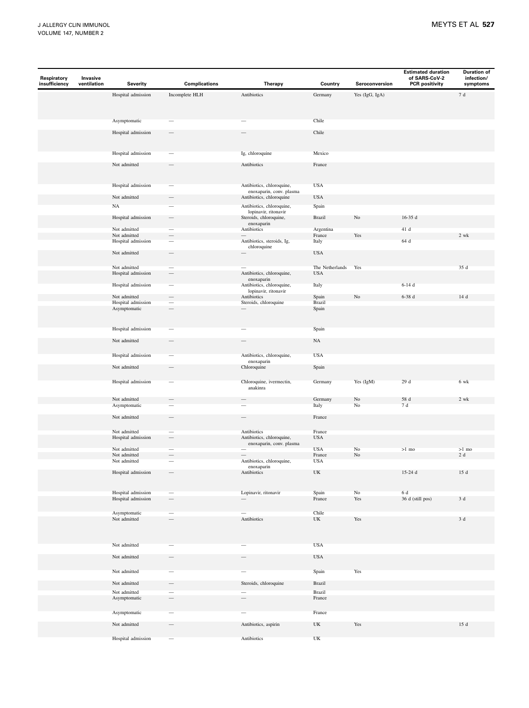| Respiratory<br>insufficiency | Invasive<br>ventilation | <b>Severity</b>                    | <b>Complications</b>     | Therapy                                               | Country                                  | Seroconversion | <b>Estimated duration</b><br>of SARS-CoV-2<br><b>PCR positivity</b> | <b>Duration of</b><br>infection/<br>symptoms |
|------------------------------|-------------------------|------------------------------------|--------------------------|-------------------------------------------------------|------------------------------------------|----------------|---------------------------------------------------------------------|----------------------------------------------|
|                              |                         | Hospital admission                 | Incomplete HLH           | Antibiotics                                           | Germany                                  | Yes (IgG, IgA) |                                                                     | $7\,\,{\rm d}$                               |
|                              |                         |                                    |                          |                                                       |                                          |                |                                                                     |                                              |
|                              |                         | Asymptomatic                       |                          |                                                       | Chile                                    |                |                                                                     |                                              |
|                              |                         | Hospital admission                 |                          |                                                       | Chile                                    |                |                                                                     |                                              |
|                              |                         | Hospital admission                 |                          | Ig, chloroquine                                       | Mexico                                   |                |                                                                     |                                              |
|                              |                         | Not admitted                       |                          | Antibiotics                                           | France                                   |                |                                                                     |                                              |
|                              |                         | Hospital admission                 |                          | Antibiotics, chloroquine,<br>enoxaparin, conv. plasma | <b>USA</b>                               |                |                                                                     |                                              |
|                              |                         | Not admitted                       |                          | Antibiotics, chloroquine                              | <b>USA</b>                               |                |                                                                     |                                              |
|                              |                         | $_{\rm NA}$                        |                          | Antibiotics, chloroquine,                             | Spain                                    |                |                                                                     |                                              |
|                              |                         | Hospital admission                 | $\qquad \qquad$          | lopinavir, ritonavir<br>Steroids, chloroquine,        | Brazil                                   | $\rm No$       | $16-35d$                                                            |                                              |
|                              |                         | Not admitted                       |                          | enoxaparin<br>Antibiotics                             | Argentina                                |                | 41 d                                                                |                                              |
|                              |                         | Not admitted                       | $\overline{\phantom{0}}$ |                                                       | France                                   | Yes            |                                                                     | 2 wk                                         |
|                              |                         | Hospital admission                 |                          | Antibiotics, steroids, Ig,<br>chloroquine             | Italy                                    |                | 64 d                                                                |                                              |
|                              |                         | Not admitted                       | $\overline{\phantom{0}}$ |                                                       | <b>USA</b>                               |                |                                                                     |                                              |
|                              |                         | Not admitted                       |                          |                                                       | The Netherlands                          | Yes            |                                                                     | 35 d                                         |
|                              |                         | Hospital admission                 | $\qquad \qquad -$        | Antibiotics, chloroquine,<br>enoxaparin               | <b>USA</b>                               |                |                                                                     |                                              |
|                              |                         | Hospital admission                 |                          | Antibiotics, chloroquine,<br>lopinavir, ritonavir     | Italy                                    |                | $6-14d$                                                             |                                              |
|                              |                         | Not admitted                       |                          | Antibiotics                                           | Spain                                    | $_{\rm No}$    | $6-38d$                                                             | 14 d                                         |
|                              |                         | Hospital admission<br>Asymptomatic |                          | Steroids, chloroquine                                 | Brazil<br>Spain                          |                |                                                                     |                                              |
|                              |                         | Hospital admission                 |                          |                                                       | Spain                                    |                |                                                                     |                                              |
|                              |                         | Not admitted                       |                          |                                                       | NA                                       |                |                                                                     |                                              |
|                              |                         | Hospital admission                 |                          | Antibiotics, chloroquine,<br>enoxaparin               | <b>USA</b>                               |                |                                                                     |                                              |
|                              |                         | Not admitted                       |                          | Chloroquine                                           | Spain                                    |                |                                                                     |                                              |
|                              |                         | Hospital admission                 |                          | Chloroquine, ivermectin,<br>anakinra                  | Germany                                  | Yes (IgM)      | 29 d                                                                | 6 wk                                         |
|                              |                         | Not admitted<br>Asymptomatic       |                          | Ξ                                                     | Germany<br>Italy                         | No<br>$\rm No$ | 58 d<br>$7\,\,{\rm d}$                                              | 2 wk                                         |
|                              |                         | Not admitted                       |                          |                                                       | France                                   |                |                                                                     |                                              |
|                              |                         | Not admitted<br>Hospital admission |                          | Antibiotics<br>Antibiotics, chloroquine,              | France<br><b>USA</b>                     |                |                                                                     |                                              |
|                              |                         | Not admitted                       |                          | enoxaparin, conv. plasma                              | <b>USA</b>                               | No             | $>1$ mo                                                             | $>1$ mo                                      |
|                              |                         | Not admitted                       |                          |                                                       | France                                   | No             |                                                                     | $2\,\mathrm{d}$                              |
|                              |                         | Not admitted                       |                          | Antibiotics, chloroquine,<br>enoxaparin               | <b>USA</b>                               |                |                                                                     |                                              |
|                              |                         | Hospital admission                 |                          | Antibiotics                                           | UK                                       |                | 15-24 d                                                             | $15\,\,{\rm d}$                              |
|                              |                         | Hospital admission                 | $\overline{\phantom{0}}$ | Lopinavir, ritonavir                                  | Spain                                    | $\rm No$       | $6\,\rm\,d$                                                         |                                              |
|                              |                         | Hospital admission                 |                          |                                                       | France                                   | Yes            | 36 d (still pos)                                                    | 3 d                                          |
|                              |                         | Asymptomatic<br>Not admitted       |                          | Antibiotics                                           | Chile<br>$\ensuremath{\text{UK}}\xspace$ | Yes            |                                                                     | 3 d                                          |
|                              |                         | Not admitted                       |                          |                                                       | <b>USA</b>                               |                |                                                                     |                                              |
|                              |                         | Not admitted                       | $\overline{\phantom{0}}$ |                                                       | $_{\mathrm{USA}}$                        |                |                                                                     |                                              |
|                              |                         | Not admitted                       |                          |                                                       | Spain                                    | Yes            |                                                                     |                                              |
|                              |                         | Not admitted                       | $\overline{\phantom{0}}$ | Steroids, chloroquine                                 | Brazil                                   |                |                                                                     |                                              |
|                              |                         | Not admitted<br>Asymptomatic       | -                        | -                                                     | Brazil<br>France                         |                |                                                                     |                                              |
|                              |                         | Asymptomatic                       |                          |                                                       | France                                   |                |                                                                     |                                              |
|                              |                         | Not admitted                       |                          | Antibiotics, aspirin                                  | $\ensuremath{\text{UK}}\xspace$          | Yes            |                                                                     | 15 d                                         |
|                              |                         | Hospital admission                 | —                        | Antibiotics                                           | $\ensuremath{\text{UK}}\xspace$          |                |                                                                     |                                              |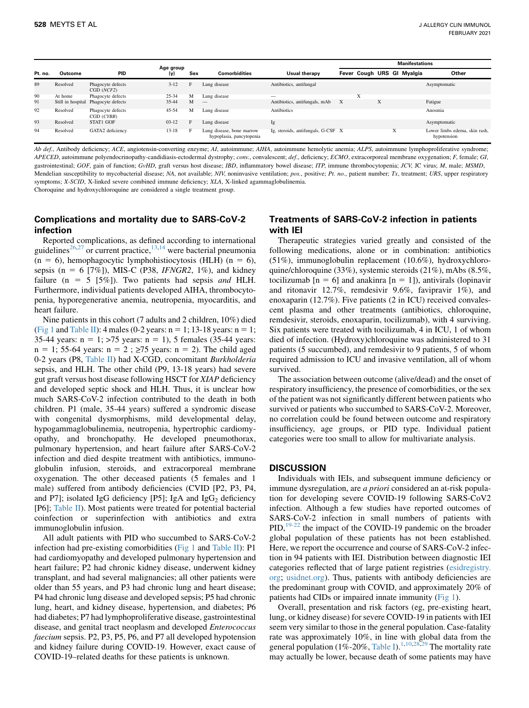|         |          |                                     | Age group |     |                                                       |                                    | <b>Manifestations</b> |   |   |                            |                                              |
|---------|----------|-------------------------------------|-----------|-----|-------------------------------------------------------|------------------------------------|-----------------------|---|---|----------------------------|----------------------------------------------|
| Pt. no. | Outcome  | <b>PID</b>                          | (y)       | Sex | <b>Comorbidities</b>                                  | Usual therapy                      |                       |   |   | Fever Cough URS GI Myalgia | Other                                        |
| 89      | Resolved | Phagocyte defects<br>CGD (NCF2)     | $3 - 12$  | E   | Lung disease                                          | Antibiotics, antifungal            |                       |   |   |                            | Asymptomatic                                 |
| 90      | At home  | Phagocyte defects                   | $25 - 34$ | м   | Lung disease                                          |                                    |                       | A |   |                            |                                              |
| 91      |          | Still in hospital Phagocyte defects | $35 - 44$ | M   | $\hspace{0.1mm}-\hspace{0.1mm}$                       | Antibiotics, antifungals, mAb      | X                     |   | X |                            | Fatigue                                      |
| 92      | Resolved | Phagocyte defects<br>CGD(CYBB)      | $45 - 54$ | м   | Lung disease                                          | Antibiotics                        |                       |   |   |                            | Anosmia                                      |
| 93      | Resolved | STAT1 GOF                           | $03 - 12$ | E   | Lung disease                                          | Ig                                 |                       |   |   |                            | Asymptomatic                                 |
| 94      | Resolved | GATA2 deficiency                    | $13 - 18$ | н.  | Lung disease, bone marrow<br>hypoplasia, pancytopenia | Ig, steroids, antifungals, G-CSF X |                       |   |   | $\lambda$                  | Lower limbs edema, skin rash.<br>hypotension |

Ab def., Antibody deficiency; ACE, angiotensin-converting enzyme; AI, autoimmune; AIHA, autoimmune hemolytic anemia; ALPS, autoimmune lymphoproliferative syndrome; APECED, autoimmune polyendocrinopathy-candidiasis-ectodermal dystrophy; conv., convalescent; def., deficiency; ECMO, extracorporeal membrane oxygenation; F, female; GI, gastrointestinal; GOF, gain of function; GvHD, graft versus host disease; IBD, inflammatory bowel disease; ITP, immune thrombocytopenia; JCV, JC virus; M, male; MSMD, Mendelian susceptibility to mycobacterial disease; NA, not available; NIV, noninvasive ventilation; pos., positive; Pt. no., patient number; Tx, treatment; URS, upper respiratory symptoms; X-SCID, X-linked severe combined immune deficiency; XLA, X-linked agammaglobulinemia.

Choroquine and hydroxychloroquine are considered a single treatment group.

## Complications and mortality due to SARS-CoV-2 infection

Reported complications, as defined according to international guidelines<sup>[26](#page-11-18),[27](#page-11-19)</sup> or current practice, $1^{3,14}$  $1^{3,14}$  $1^{3,14}$  were bacterial pneumonia  $(n = 6)$ , hemophagocytic lymphohistiocytosis (HLH)  $(n = 6)$ , sepsis (n = 6 [7%]), MIS-C (P38, IFNGR2, 1%), and kidney failure (n = 5 [5%]). Two patients had sepsis and HLH. Furthermore, individual patients developed AIHA, thrombocytopenia, hyporegenerative anemia, neutropenia, myocarditis, and heart failure.

Nine patients in this cohort (7 adults and 2 children, 10%) died [\(Fig 1](#page-10-0) and [Table II](#page-4-0)): 4 males (0-2 years:  $n = 1$ ; 13-18 years:  $n = 1$ ; 35-44 years:  $n = 1$ ; >75 years:  $n = 1$ ), 5 females (35-44 years:  $n = 1$ ; 55-64 years:  $n = 2$ ;  $\ge 75$  years:  $n = 2$ ). The child aged 0-2 years (P8, [Table II\)](#page-4-0) had X-CGD, concomitant Burkholderia sepsis, and HLH. The other child (P9, 13-18 years) had severe gut graft versus host disease following HSCT for XIAP deficiency and developed septic shock and HLH. Thus, it is unclear how much SARS-CoV-2 infection contributed to the death in both children. P1 (male, 35-44 years) suffered a syndromic disease with congenital dysmorphisms, mild developmental delay, hypogammaglobulinemia, neutropenia, hypertrophic cardiomyopathy, and bronchopathy. He developed pneumothorax, pulmonary hypertension, and heart failure after SARS-CoV-2 infection and died despite treatment with antibiotics, immunoglobulin infusion, steroids, and extracorporeal membrane oxygenation. The other deceased patients (5 females and 1 male) suffered from antibody deficiencies (CVID [P2, P3, P4, and P7]; isolated IgG deficiency [P5]; IgA and IgG<sub>2</sub> deficiency [P6]; [Table II](#page-4-0)). Most patients were treated for potential bacterial coinfection or superinfection with antibiotics and extra immunoglobulin infusion.

All adult patients with PID who succumbed to SARS-CoV-2 infection had pre-existing comorbidities [\(Fig 1](#page-10-0) and [Table II\)](#page-4-0): P1 had cardiomyopathy and developed pulmonary hypertension and heart failure; P2 had chronic kidney disease, underwent kidney transplant, and had several malignancies; all other patients were older than 55 years, and P3 had chronic lung and heart disease; P4 had chronic lung disease and developed sepsis; P5 had chronic lung, heart, and kidney disease, hypertension, and diabetes; P6 had diabetes; P7 had lymphoproliferative disease, gastrointestinal disease, and genital tract neoplasm and developed Enterococcus faecium sepsis. P2, P3, P5, P6, and P7 all developed hypotension and kidney failure during COVID-19. However, exact cause of COVID-19–related deaths for these patients is unknown.

## Treatments of SARS-CoV-2 infection in patients with IEI

Therapeutic strategies varied greatly and consisted of the following medications, alone or in combination: antibiotics (51%), immunoglobulin replacement (10.6%), hydroxychloroquine/chloroquine (33%), systemic steroids (21%), mAbs (8.5%, tocilizumab  $[n = 6]$  and anakinra  $[n = 1]$ ), antivirals (lopinavir and ritonavir 12.7%, remdesivir 9.6%, favipravir 1%), and enoxaparin (12.7%). Five patients (2 in ICU) received convalescent plasma and other treatments (antibiotics, chloroquine, remdesivir, steroids, enoxaparin, tocilizumab), with 4 surviving. Six patients were treated with tocilizumab, 4 in ICU, 1 of whom died of infection. (Hydroxy)chloroquine was administered to 31 patients (5 succumbed), and remdesivir to 9 patients, 5 of whom required admission to ICU and invasive ventilation, all of whom survived.

The association between outcome (alive/dead) and the onset of respiratory insufficiency, the presence of comorbidities, or the sex of the patient was not significantly different between patients who survived or patients who succumbed to SARS-CoV-2. Moreover, no correlation could be found between outcome and respiratory insufficiency, age groups, or PID type. Individual patient categories were too small to allow for multivariate analysis.

## **DISCUSSION**

Individuals with IEIs, and subsequent immune deficiency or immune dysregulation, are *a priori* considered an at-risk population for developing severe COVID-19 following SARS-CoV2 infection. Although a few studies have reported outcomes of SARS-CoV-2 infection in small numbers of patients with PID, $19-22$  the impact of the COVID-19 pandemic on the broader global population of these patients has not been established. Here, we report the occurrence and course of SARS-CoV-2 infection in 94 patients with IEI. Distribution between diagnostic IEI categories reflected that of large patient registries [\(esidregistry.](http://esidregistry.org) [org;](http://esidregistry.org) [usidnet.org](http://usidnet.org)). Thus, patients with antibody deficiencies are the predominant group with COVID, and approximately 20% of patients had CIDs or impaired innate immunity [\(Fig 1](#page-10-0)).

Overall, presentation and risk factors (eg, pre-existing heart, lung, or kidney disease) for severe COVID-19 in patients with IEI seem very similar to those in the general population. Case-fatality rate was approximately 10%, in line with global data from the general population (1%-20%, [Table I](#page-2-0)).<sup>[1,](#page-11-0)[10](#page-11-6)[,28](#page-11-20)[,29](#page-11-21)</sup> The mortality rate may actually be lower, because death of some patients may have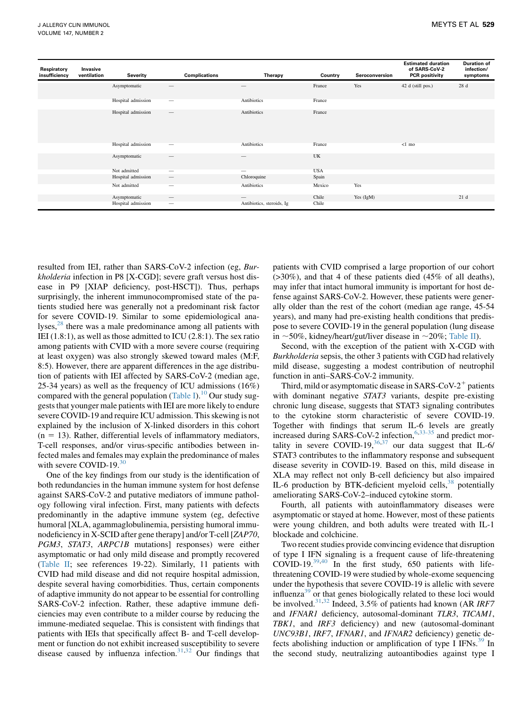| Respiratory<br>insufficiency | Invasive<br>ventilation | Severity                           | <b>Complications</b>                                        | Therapy                                                      | Country        | Seroconversion | <b>Estimated duration</b><br>of SARS-CoV-2<br><b>PCR</b> positivity | <b>Duration of</b><br>infection/<br>symptoms |
|------------------------------|-------------------------|------------------------------------|-------------------------------------------------------------|--------------------------------------------------------------|----------------|----------------|---------------------------------------------------------------------|----------------------------------------------|
|                              |                         | Asymptomatic                       |                                                             |                                                              | France         | Yes            | 42 d (still pos.)                                                   | 28 d                                         |
|                              |                         | Hospital admission                 | –                                                           | Antibiotics                                                  | France         |                |                                                                     |                                              |
|                              |                         | Hospital admission                 | $\qquad \qquad -$                                           | Antibiotics                                                  | France         |                |                                                                     |                                              |
|                              |                         | Hospital admission                 | —                                                           | Antibiotics                                                  | France         |                | $<1$ mo                                                             |                                              |
|                              |                         | Asymptomatic                       | —                                                           |                                                              | UK             |                |                                                                     |                                              |
|                              |                         | Not admitted                       | --                                                          | –                                                            | <b>USA</b>     |                |                                                                     |                                              |
|                              |                         | Hospital admission                 | $\hspace{0.1mm}-\hspace{0.1mm}$                             | Chloroquine                                                  | Spain          |                |                                                                     |                                              |
|                              |                         | Not admitted                       | $\overline{\phantom{m}}$                                    | Antibiotics                                                  | Mexico         | Yes            |                                                                     |                                              |
|                              |                         | Asymptomatic<br>Hospital admission | $\hspace{0.1mm}-\hspace{0.1mm}$<br>$\overline{\phantom{m}}$ | $\hspace{0.1mm}-\hspace{0.1mm}$<br>Antibiotics, steroids, Ig | Chile<br>Chile | Yes $(IgM)$    |                                                                     | 21d                                          |

resulted from IEI, rather than SARS-CoV-2 infection (eg, Burkholderia infection in P8 [X-CGD]; severe graft versus host disease in P9 [XIAP deficiency, post-HSCT]). Thus, perhaps surprisingly, the inherent immunocompromised state of the patients studied here was generally not a predominant risk factor for severe COVID-19. Similar to some epidemiological analyses,<sup>28</sup> there was a male predominance among all patients with IEI (1.8:1), as well as those admitted to ICU (2.8:1). The sex ratio among patients with CVID with a more severe course (requiring at least oxygen) was also strongly skewed toward males (M:F, 8:5). However, there are apparent differences in the age distribution of patients with IEI affected by SARS-CoV-2 (median age, 25-34 years) as well as the frequency of ICU admissions (16%) compared with the general population [\(Table I](#page-2-0)).<sup>[10](#page-11-6)</sup> Our study suggests that younger male patients with IEI are more likely to endure severe COVID-19 and require ICU admission. This skewing is not explained by the inclusion of X-linked disorders in this cohort  $(n = 13)$ . Rather, differential levels of inflammatory mediators, T-cell responses, and/or virus-specific antibodies between infected males and females may explain the predominance of males with severe COVID-19. $30$ 

One of the key findings from our study is the identification of both redundancies in the human immune system for host defense against SARS-CoV-2 and putative mediators of immune pathology following viral infection. First, many patients with defects predominantly in the adaptive immune system (eg, defective humoral [XLA, agammaglobulinemia, persisting humoral immunodeficiency in X-SCID after gene therapy] and/or T-cell [ZAP70, PGM3, STAT3, ARPC1B mutations] responses) were either asymptomatic or had only mild disease and promptly recovered ([Table II](#page-4-0); see references 19-22). Similarly, 11 patients with CVID had mild disease and did not require hospital admission, despite several having comorbidities. Thus, certain components of adaptive immunity do not appear to be essential for controlling SARS-CoV-2 infection. Rather, these adaptive immune deficiencies may even contribute to a milder course by reducing the immune-mediated sequelae. This is consistent with findings that patients with IEIs that specifically affect B- and T-cell development or function do not exhibit increased susceptibility to severe disease caused by influenza infection.<sup>31[,32](#page-11-24)</sup> Our findings that patients with CVID comprised a large proportion of our cohort (>30%), and that 4 of these patients died (45% of all deaths), may infer that intact humoral immunity is important for host defense against SARS-CoV-2. However, these patients were generally older than the rest of the cohort (median age range, 45-54 years), and many had pre-existing health conditions that predispose to severe COVID-19 in the general population (lung disease in  $\sim$ 50%, kidney/heart/gut/liver disease in  $\sim$ 20%; [Table II\)](#page-4-0).

Second, with the exception of the patient with X-CGD with Burkholderia sepsis, the other 3 patients with CGD had relatively mild disease, suggesting a modest contribution of neutrophil function in anti–SARS-CoV-2 immunity.

Third, mild or asymptomatic disease in SARS-CoV- $2^+$  patients with dominant negative *STAT3* variants, despite pre-existing chronic lung disease, suggests that STAT3 signaling contributes to the cytokine storm characteristic of severe COVID-19. Together with findings that serum IL-6 levels are greatly increased during SARS-CoV-2 infection,  $6,33-35$  $6,33-35$  and predict mortality in severe COVID-19, $36,37$  $36,37$  our data suggest that IL-6/ STAT3 contributes to the inflammatory response and subsequent disease severity in COVID-19. Based on this, mild disease in XLA may reflect not only B-cell deficiency but also impaired IL-6 production by BTK-deficient myeloid cells, $38$  potentially ameliorating SARS-CoV-2–induced cytokine storm.

Fourth, all patients with autoinflammatory diseases were asymptomatic or stayed at home. However, most of these patients were young children, and both adults were treated with IL-1 blockade and colchicine.

Two recent studies provide convincing evidence that disruption of type I IFN signaling is a frequent cause of life-threatening COVID-19. $39,40$  $39,40$  In the first study, 650 patients with lifethreatening COVID-19 were studied by whole-exome sequencing under the hypothesis that severe COVID-19 is allelic with severe influenza<sup>[39](#page-11-29)</sup> or that genes biologically related to these loci would be involved.<sup>[31,](#page-11-23)[32](#page-11-24)</sup> Indeed, 3.5% of patients had known (AR IRF7) and IFNAR1 deficiency, autosomal-dominant TLR3, TICAM1, TBK1, and IRF3 deficiency) and new (autosomal-dominant UNC93B1, IRF7, IFNAR1, and IFNAR2 deficiency) genetic de-fects abolishing induction or amplification of type I IFNs.<sup>[39](#page-11-29)</sup> In the second study, neutralizing autoantibodies against type I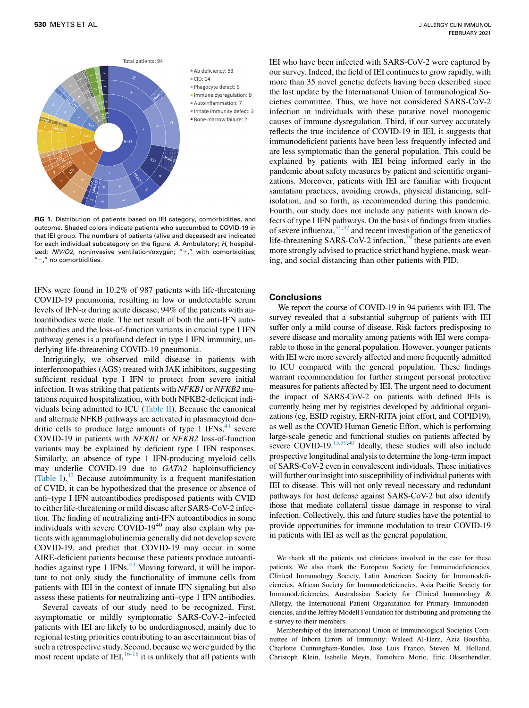<span id="page-10-0"></span>

FIG 1. Distribution of patients based on IEI category, comorbidities, and outcome. Shaded colors indicate patients who succumbed to COVID-19 in that IEI group. The numbers of patients (alive and deceased) are indicated for each individual subcategory on the figure. A, Ambulatory; H, hospitalized;  $NIV/O2$ , noninvasive ventilation/oxygen; "+," with comorbidities;  $''$  no comorbidities.

IFNs were found in 10.2% of 987 patients with life-threatening COVID-19 pneumonia, resulting in low or undetectable serum levels of IFN- $\alpha$  during acute disease; 94% of the patients with autoantibodies were male. The net result of both the anti-IFN autoantibodies and the loss-of-function variants in crucial type I IFN pathway genes is a profound defect in type I IFN immunity, underlying life-threatening COVID-19 pneumonia.

Intriguingly, we observed mild disease in patients with interferonopathies (AGS) treated with JAK inhibitors, suggesting sufficient residual type I IFN to protect from severe initial infection. It was striking that patients with NFKB1 or NFKB2 mutations required hospitalization, with both NFKB2-deficient individuals being admitted to ICU ([Table II\)](#page-4-0). Because the canonical and alternate NFKB pathways are activated in plasmacytoid dendritic cells to produce large amounts of type 1  $IFNs<sub>1</sub><sup>41</sup>$  $IFNs<sub>1</sub><sup>41</sup>$  $IFNs<sub>1</sub><sup>41</sup>$  severe COVID-19 in patients with NFKB1 or NFKB2 loss-of-function variants may be explained by deficient type I IFN responses. Similarly, an absence of type 1 IFN-producing myeloid cells may underlie COVID-19 due to GATA2 haploinsufficiency [\(Table I](#page-2-0)). $42$  Because autoimmunity is a frequent manifestation of CVID, it can be hypothesized that the presence or absence of anti–type I IFN autoantibodies predisposed patients with CVID to either life-threatening or mild disease after SARS-CoV-2 infection. The finding of neutralizing anti-IFN autoantibodies in some individuals with severe COVID-19<sup>40</sup> may also explain why patients with agammaglobulinemia generally did not develop severe COVID-19, and predict that COVID-19 may occur in some AIRE-deficient patients because these patients produce autoanti-bodies against type 1 IFNs.<sup>[43](#page-11-33)</sup> Moving forward, it will be important to not only study the functionality of immune cells from patients with IEI in the context of innate IFN signaling but also assess these patients for neutralizing anti–type 1 IFN antibodies.

Several caveats of our study need to be recognized. First, asymptomatic or mildly symptomatic SARS-CoV-2–infected patients with IEI are likely to be underdiagnosed, mainly due to regional testing priorities contributing to an ascertainment bias of such a retrospective study. Second, because we were guided by the most recent update of  $IEI$ ,  $^{16-18}$  $^{16-18}$  $^{16-18}$  it is unlikely that all patients with

IEI who have been infected with SARS-CoV-2 were captured by our survey. Indeed, the field of IEI continues to grow rapidly, with more than 35 novel genetic defects having been described since the last update by the International Union of Immunological Societies committee. Thus, we have not considered SARS-CoV-2 infection in individuals with these putative novel monogenic causes of immune dysregulation. Third, if our survey accurately reflects the true incidence of COVID-19 in IEI, it suggests that immunodeficient patients have been less frequently infected and are less symptomatic than the general population. This could be explained by patients with IEI being informed early in the pandemic about safety measures by patient and scientific organizations. Moreover, patients with IEI are familiar with frequent sanitation practices, avoiding crowds, physical distancing, selfisolation, and so forth, as recommended during this pandemic. Fourth, our study does not include any patients with known defects of type I IFN pathways. On the basis of findings from studies of severe influenza,  $31,32$  $31,32$  and recent investigation of the genetics of life-threatening SARS-CoV-2 infection,<sup>[39](#page-11-29)</sup> these patients are even more strongly advised to practice strict hand hygiene, mask wearing, and social distancing than other patients with PID.

## Conclusions

We report the course of COVID-19 in 94 patients with IEI. The survey revealed that a substantial subgroup of patients with IEI suffer only a mild course of disease. Risk factors predisposing to severe disease and mortality among patients with IEI were comparable to those in the general population. However, younger patients with IEI were more severely affected and more frequently admitted to ICU compared with the general population. These findings warrant recommendation for further stringent personal protective measures for patients affected by IEI. The urgent need to document the impact of SARS-CoV-2 on patients with defined IEIs is currently being met by registries developed by additional organizations (eg, ESID registry, ERN-RITA joint effort, and COPID19), as well as the COVID Human Genetic Effort, which is performing large-scale genetic and functional studies on patients affected by severe COVID-19.<sup>15,[39,](#page-11-29)[40](#page-11-30)</sup> Ideally, these studies will also include prospective longitudinal analysis to determine the long-term impact of SARS-CoV-2 even in convalescent individuals. These initiatives will further our insight into susceptibility of individual patients with IEI to disease. This will not only reveal necessary and redundant pathways for host defense against SARS-CoV-2 but also identify those that mediate collateral tissue damage in response to viral infection. Collectively, this and future studies have the potential to provide opportunities for immune modulation to treat COVID-19 in patients with IEI as well as the general population.

We thank all the patients and clinicians involved in the care for these patients. We also thank the European Society for Immunodeficiencies, Clinical Immunology Society, Latin American Society for Immunodeficiencies, African Society for Immunodeficiencies, Asia Pacific Society for Immunodeficiencies, Australasian Society for Clinical Immunology & Allergy, the International Patient Organization for Primary Immunodeficiencies, and the Jeffrey Modell Foundation for distributing and promoting the e-survey to their members.

Membership of the International Union of Immunological Societies Committee of Inborn Errors of Immunity: Waleed Al-Herz, Aziz Bousfiha, Charlotte Cunningham-Rundles, Jose Luis Franco, Steven M. Holland, Christoph Klein, Isabelle Meyts, Tomohiro Morio, Eric Oksenhendler,